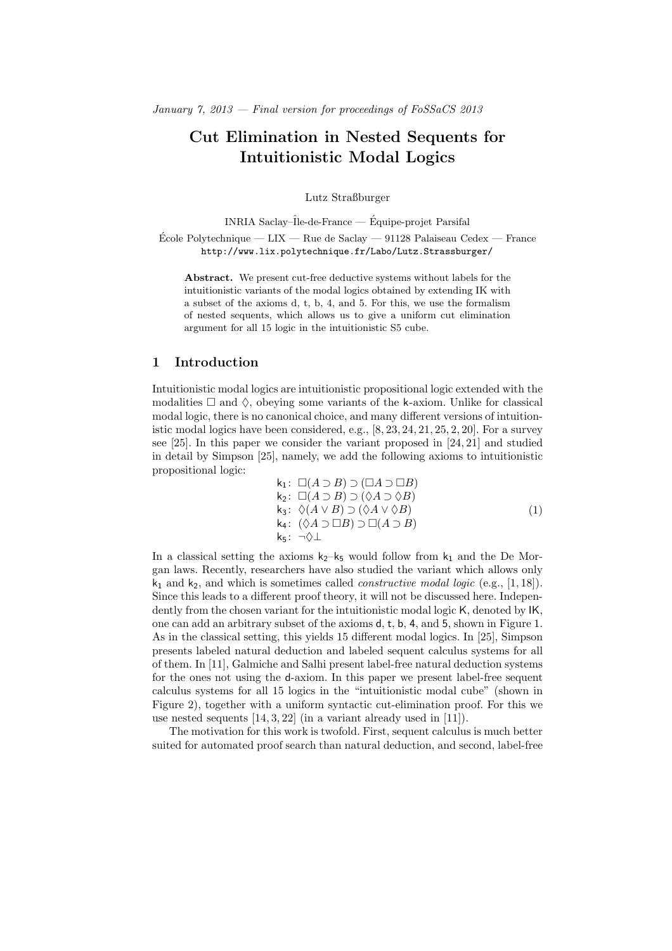# Cut Elimination in Nested Sequents for Intuitionistic Modal Logics

Lutz Straßburger

INRIA Saclay– $\hat{I}$ le-de-France — Équipe-projet Parsifal

École Polytechnique — LIX — Rue de Saclay — 91128 Palaiseau Cedex — France http://www.lix.polytechnique.fr/Labo/Lutz.Strassburger/

Abstract. We present cut-free deductive systems without labels for the intuitionistic variants of the modal logics obtained by extending IK with a subset of the axioms d, t, b, 4, and 5. For this, we use the formalism of nested sequents, which allows us to give a uniform cut elimination argument for all 15 logic in the intuitionistic S5 cube.

# 1 Introduction

Intuitionistic modal logics are intuitionistic propositional logic extended with the modalities  $\Box$  and  $\Diamond$ , obeying some variants of the k-axiom. Unlike for classical modal logic, there is no canonical choice, and many different versions of intuitionistic modal logics have been considered, e.g.,  $[8, 23, 24, 21, 25, 2, 20]$ . For a survey see [25]. In this paper we consider the variant proposed in [24, 21] and studied in detail by Simpson [25], namely, we add the following axioms to intuitionistic propositional logic:

$$
k_1: \Box(A \supset B) \supset (\Box A \supset \Box B) \nk_2: \Box(A \supset B) \supset (\Diamond A \supset \Diamond B) \nk_3: \Diamond(A \vee B) \supset (\Diamond A \vee \Diamond B) \nk_4: (\Diamond A \supset \Box B) \supset \Box(A \supset B)
$$
\n
$$
k_5: \neg \Diamond \bot
$$
\n(1)

In a classical setting the axioms  $\mathsf{k}_2\mathsf{-k}_5$  would follow from  $\mathsf{k}_1$  and the De Morgan laws. Recently, researchers have also studied the variant which allows only  $k_1$  and  $k_2$ , and which is sometimes called *constructive modal logic* (e.g., [1,18]). Since this leads to a different proof theory, it will not be discussed here. Independently from the chosen variant for the intuitionistic modal logic K, denoted by IK, one can add an arbitrary subset of the axioms d, t, b, 4, and 5, shown in Figure 1. As in the classical setting, this yields 15 different modal logics. In [25], Simpson presents labeled natural deduction and labeled sequent calculus systems for all of them. In [11], Galmiche and Salhi present label-free natural deduction systems for the ones not using the d-axiom. In this paper we present label-free sequent calculus systems for all 15 logics in the "intuitionistic modal cube" (shown in Figure 2), together with a uniform syntactic cut-elimination proof. For this we use nested sequents [14, 3, 22] (in a variant already used in [11]).

The motivation for this work is twofold. First, sequent calculus is much better suited for automated proof search than natural deduction, and second, label-free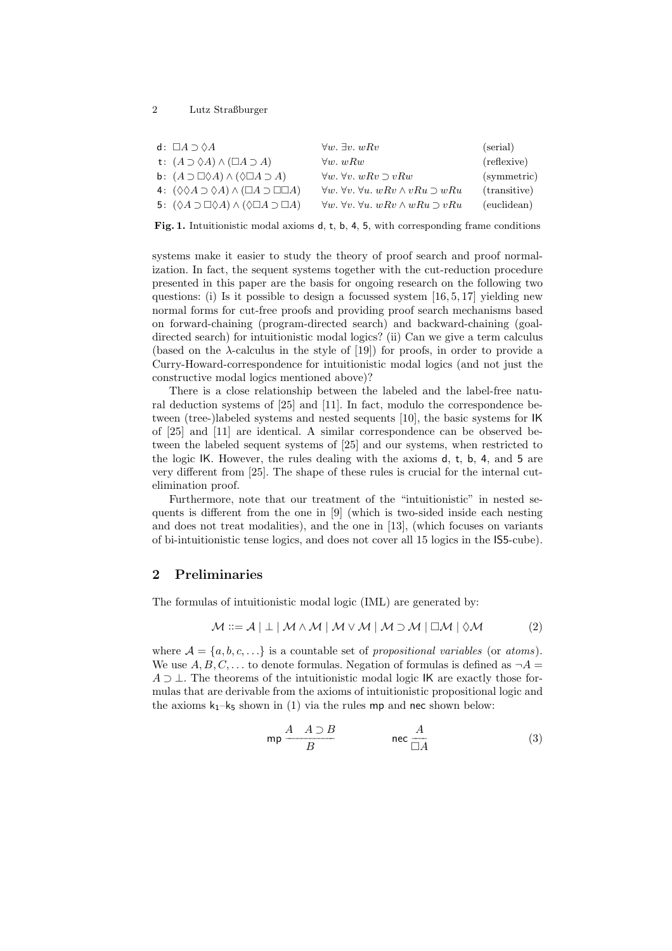| d: $\Box A \supset \Diamond A$                                                    | $\forall w. \exists v. wRv$                                         | (serial)     |
|-----------------------------------------------------------------------------------|---------------------------------------------------------------------|--------------|
| t: $(A \supset \Diamond A) \wedge (\Box A \supset A)$                             | $\forall w. wRw$                                                    | (reflexive)  |
| <b>b</b> : $(A \supset \Box \Diamond A) \land (\Diamond \Box A \supset A)$        | $\forall w. \forall v. w R v \supset v R w$                         | (symmetric)  |
| 4: $(\Diamond \Diamond A \supset \Diamond A) \wedge (\Box A \supset \Box \Box A)$ | $\forall w. \forall v. \forall u. w R v \wedge v R u \supset w R u$ | (transitive) |
| 5: $(\Diamond A \supset \Box \Diamond A) \wedge (\Diamond \Box A \supset \Box A)$ | $\forall w. \forall v. \forall u. w R v \wedge w R u \supset v R u$ | (euclidean)  |

Fig. 1. Intuitionistic modal axioms d, t, b, 4, 5, with corresponding frame conditions

systems make it easier to study the theory of proof search and proof normalization. In fact, the sequent systems together with the cut-reduction procedure presented in this paper are the basis for ongoing research on the following two questions: (i) Is it possible to design a focussed system  $[16, 5, 17]$  yielding new normal forms for cut-free proofs and providing proof search mechanisms based on forward-chaining (program-directed search) and backward-chaining (goaldirected search) for intuitionistic modal logics? (ii) Can we give a term calculus (based on the  $\lambda$ -calculus in the style of [19]) for proofs, in order to provide a Curry-Howard-correspondence for intuitionistic modal logics (and not just the constructive modal logics mentioned above)?

There is a close relationship between the labeled and the label-free natural deduction systems of [25] and [11]. In fact, modulo the correspondence between (tree-)labeled systems and nested sequents [10], the basic systems for IK of [25] and [11] are identical. A similar correspondence can be observed between the labeled sequent systems of [25] and our systems, when restricted to the logic IK. However, the rules dealing with the axioms d, t, b, 4, and 5 are very different from [25]. The shape of these rules is crucial for the internal cutelimination proof.

Furthermore, note that our treatment of the "intuitionistic" in nested sequents is different from the one in [9] (which is two-sided inside each nesting and does not treat modalities), and the one in [13], (which focuses on variants of bi-intuitionistic tense logics, and does not cover all 15 logics in the IS5-cube).

# 2 Preliminaries

The formulas of intuitionistic modal logic (IML) are generated by:

$$
\mathcal{M} ::= \mathcal{A} \mid \perp \mid \mathcal{M} \land \mathcal{M} \mid \mathcal{M} \lor \mathcal{M} \mid \mathcal{M} \supset \mathcal{M} \mid \Box \mathcal{M} \mid \Diamond \mathcal{M} \tag{2}
$$

where  $A = \{a, b, c, \ldots\}$  is a countable set of propositional variables (or atoms). We use  $A, B, C, \ldots$  to denote formulas. Negation of formulas is defined as  $\neg A =$  $A \supset \perp$ . The theorems of the intuitionistic modal logic IK are exactly those formulas that are derivable from the axioms of intuitionistic propositional logic and the axioms  $k_1-k_5$  shown in (1) via the rules mp and nec shown below:

$$
\mathsf{mp}\,\frac{A\ \ A\supset B}{B}\qquad \qquad \mathsf{nec}\,\frac{A}{\Box A}\tag{3}
$$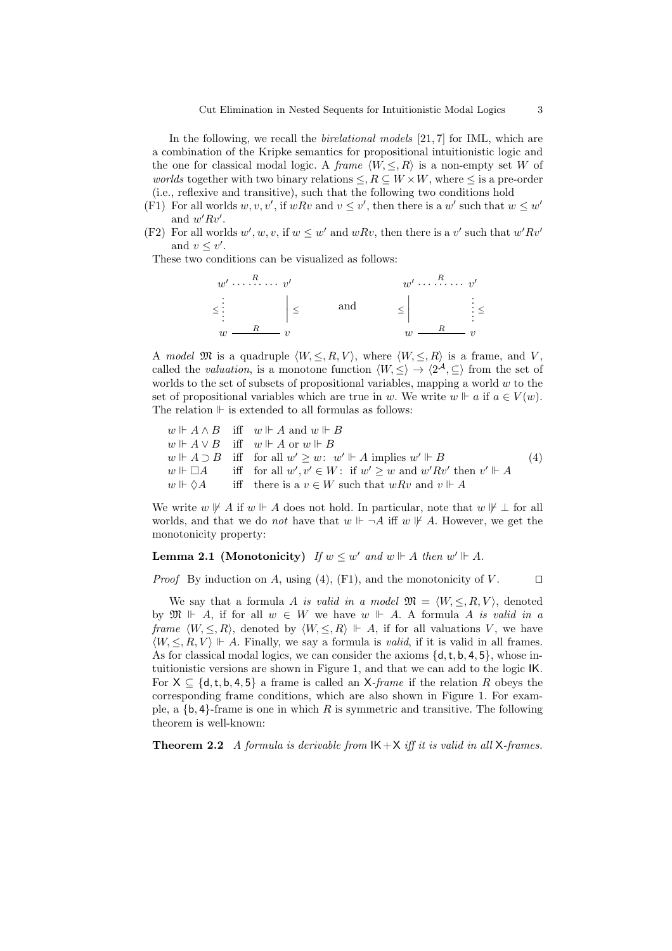In the following, we recall the *birelational models*  $[21, 7]$  for IML, which are a combination of the Kripke semantics for propositional intuitionistic logic and the one for classical modal logic. A frame  $\langle W, \leq, R \rangle$  is a non-empty set W of *worlds* together with two binary relations  $\leq$ ,  $R \subseteq W \times W$ , where  $\leq$  is a pre-order (i.e., reflexive and transitive), such that the following two conditions hold

- (F1) For all worlds  $w, v, v'$ , if  $wRv$  and  $v \leq v'$ , then there is a w' such that  $w \leq w'$ and  $w' R v'$ .
- (F2) For all worlds  $w', w, v$ , if  $w \leq w'$  and  $wRv$ , then there is a v' such that  $w'Rv'$ and  $v \leq v'$ .

These two conditions can be visualized as follows:

w ′ · · · R · · · · · · v ′ ≤ . . . . . . ≤ w R v and w ′ · · · R · · · · · · v ′ ≤ . . . . . . ≤ w R v

A model  $\mathfrak{M}$  is a quadruple  $\langle W, \leq, R, V \rangle$ , where  $\langle W, \leq, R \rangle$  is a frame, and V, called the *valuation*, is a monotone function  $\langle W, \leq \rangle \to \langle 2^{\mathcal{A}}, \subseteq \rangle$  from the set of worlds to the set of subsets of propositional variables, mapping a world  $w$  to the set of propositional variables which are true in w. We write  $w \Vdash a$  if  $a \in V(w)$ . The relation  $\mathbb F$  is extended to all formulas as follows:

 $w \Vdash A \wedge B$  iff  $w \Vdash A$  and  $w \Vdash B$  $w \Vdash A \vee B$  iff  $w \Vdash A$  or  $w \Vdash B$  $w \Vdash A \supset B$  iff  $y' \geq w$ :  $w' \Vdash A$  implies  $w' \Vdash B$  $w \Vdash \Box A$  iff for all  $w', v' \in W$ : if  $w' \geq w$  and  $w' R v'$  then  $v' \Vdash A$  $w \Vdash \Diamond A$  iff there is a  $v \in W$  such that  $wRv$  and  $v \Vdash A$ (4)

We write  $w \not\vdash A$  if  $w \vdash A$  does not hold. In particular, note that  $w \not\vdash \bot$  for all worlds, and that we do *not* have that  $w \Vdash \neg A$  iff  $w \not\Vdash A$ . However, we get the monotonicity property:

# **Lemma 2.1 (Monotonicity)** If  $w \leq w'$  and  $w \Vdash A$  then  $w' \Vdash A$ .

*Proof* By induction on A, using (4), (F1), and the monotonicity of V.  $\Box$ 

We say that a formula A is valid in a model  $\mathfrak{M} = \langle W, \leq, R, V \rangle$ , denoted by  $\mathfrak{M} \Vdash A$ , if for all  $w \in W$  we have  $w \Vdash A$ . A formula A is valid in a frame  $\langle W, \leq, R \rangle$ , denoted by  $\langle W, \leq, R \rangle \Vdash A$ , if for all valuations V, we have  $\langle W, \leq, R, V \rangle \Vdash A$ . Finally, we say a formula is *valid*, if it is valid in all frames. As for classical modal logics, we can consider the axioms  $\{d, t, b, 4, 5\}$ , whose intuitionistic versions are shown in Figure 1, and that we can add to the logic IK. For  $X \subseteq \{d, t, b, 4, 5\}$  a frame is called an X-frame if the relation R obeys the corresponding frame conditions, which are also shown in Figure 1. For example, a  ${b, 4}$ -frame is one in which R is symmetric and transitive. The following theorem is well-known:

**Theorem 2.2** A formula is derivable from  $IK+X$  iff it is valid in all X-frames.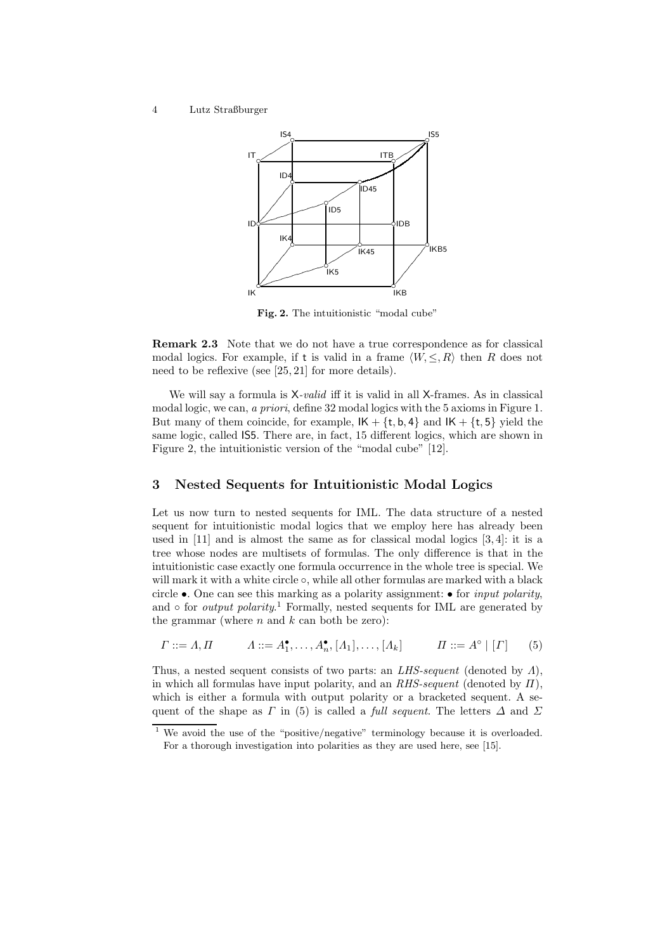

Fig. 2. The intuitionistic "modal cube"

Remark 2.3 Note that we do not have a true correspondence as for classical modal logics. For example, if t is valid in a frame  $\langle W, \leq, R \rangle$  then R does not need to be reflexive (see [25, 21] for more details).

We will say a formula is  $X\text{-}valid$  iff it is valid in all X-frames. As in classical modal logic, we can, a priori, define 32 modal logics with the 5 axioms in Figure 1. But many of them coincide, for example,  $IK + \{t, b, 4\}$  and  $IK + \{t, 5\}$  yield the same logic, called IS5. There are, in fact, 15 different logics, which are shown in Figure 2, the intuitionistic version of the "modal cube" [12].

### 3 Nested Sequents for Intuitionistic Modal Logics

Let us now turn to nested sequents for IML. The data structure of a nested sequent for intuitionistic modal logics that we employ here has already been used in [11] and is almost the same as for classical modal logics [3, 4]: it is a tree whose nodes are multisets of formulas. The only difference is that in the intuitionistic case exactly one formula occurrence in the whole tree is special. We will mark it with a white circle  $\circ$ , while all other formulas are marked with a black circle  $\bullet$ . One can see this marking as a polarity assignment:  $\bullet$  for *input polarity*, and  $\circ$  for *output polarity.*<sup>1</sup> Formally, nested sequents for IML are generated by the grammar (where  $n$  and  $k$  can both be zero):

$$
\Gamma ::= \Lambda, \Pi \qquad \Lambda ::= A_1^{\bullet}, \dots, A_n^{\bullet}, [A_1], \dots, [A_k] \qquad \Pi ::= A^{\circ} \mid [\Gamma] \qquad (5)
$$

Thus, a nested sequent consists of two parts: an  $LHS\text{-}sequent$  (denoted by  $\Lambda$ ), in which all formulas have input polarity, and an  $RHS\text{-}sequent$  (denoted by  $\Pi$ ), which is either a formula with output polarity or a bracketed sequent. A sequent of the shape as  $\Gamma$  in (5) is called a *full sequent*. The letters  $\Delta$  and  $\Sigma$ 

<sup>&</sup>lt;sup>1</sup> We avoid the use of the "positive/negative" terminology because it is overloaded. For a thorough investigation into polarities as they are used here, see [15].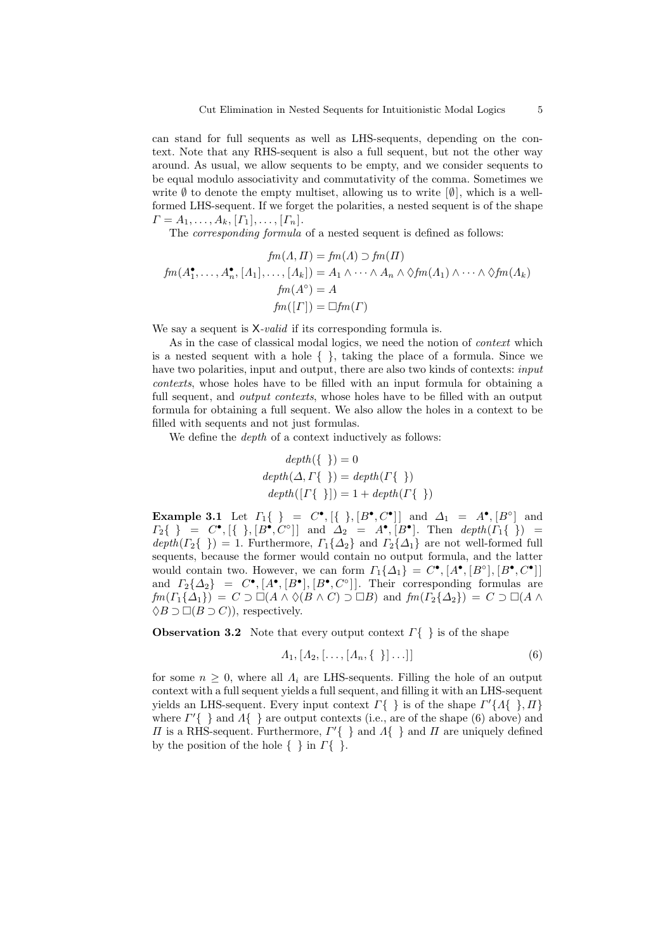can stand for full sequents as well as LHS-sequents, depending on the context. Note that any RHS-sequent is also a full sequent, but not the other way around. As usual, we allow sequents to be empty, and we consider sequents to be equal modulo associativity and commutativity of the comma. Sometimes we write  $\emptyset$  to denote the empty multiset, allowing us to write  $[\emptyset]$ , which is a wellformed LHS-sequent. If we forget the polarities, a nested sequent is of the shape  $\Gamma = A_1, \ldots, A_k, [\Gamma_1], \ldots, [\Gamma_n].$ 

The *corresponding formula* of a nested sequent is defined as follows:

$$
fm(A, \Pi) = fm(\Lambda) \supset fm(\Pi)
$$
  

$$
fm(A_1^{\bullet}, \dots, A_n^{\bullet}, [A_1], \dots, [A_k]) = A_1 \wedge \dots \wedge A_n \wedge \Diamond fm(A_1) \wedge \dots \wedge \Diamond fm(A_k)
$$
  

$$
fm(A^{\circ}) = A
$$
  

$$
fm([{\Gamma}]) = \Box fm({\Gamma})
$$

We say a sequent is  $X$ -valid if its corresponding formula is.

As in the case of classical modal logics, we need the notion of *context* which is a nested sequent with a hole  $\{\}$ , taking the place of a formula. Since we have two polarities, input and output, there are also two kinds of contexts: *input* contexts, whose holes have to be filled with an input formula for obtaining a full sequent, and *output contexts*, whose holes have to be filled with an output formula for obtaining a full sequent. We also allow the holes in a context to be filled with sequents and not just formulas.

We define the *depth* of a context inductively as follows:

$$
depth({\ })=0
$$
  

$$
depth(\Delta, \Gamma\{\})=depth(\Gamma\{\})
$$
  

$$
depth([\Gamma\{\})])=1+depth(\Gamma\{\})
$$

Example 3.1 Let  $\Gamma_1\{\} = C^\bullet, [\{\}, [B^\bullet, C^\bullet]] \text{ and } \Delta_1 = A^\bullet, [B^\circ] \text{ and }$  $\Gamma_2\{\}\ =\ C^\bullet, [\{\ \}, [B^\bullet, C^\circ]]\ \text{ and } \Delta_2 = A^\bullet, [B^\bullet].\ \text{ Then }\ depth(\Gamma_1\{\ \}) =$  $depth(\Gamma_2\{\}) = 1.$  Furthermore,  $\Gamma_1\{\Delta_2\}$  and  $\Gamma_2\{\Delta_1\}$  are not well-formed full sequents, because the former would contain no output formula, and the latter would contain two. However, we can form  $\Gamma_1\{\Delta_1\} = C^{\bullet}, [A^{\bullet}, [B^{\circ}], [B^{\bullet}, C^{\bullet}]]$ and  $\Gamma_2\{\Delta_2\} = C^{\bullet}, [A^{\bullet}, [B^{\bullet}], [B^{\bullet}, C^{\circ}]]$ . Their corresponding formulas are  $f m(\Gamma_1{\{\Delta_1}\}) = C \supset \Box(A \land \Diamond(B \land C) \supset \Box B)$  and  $f m(\Gamma_2{\{\Delta_2}\}) = C \supset \Box(A \land$  $\Diamond B \supset \Box (B \supset C)$ , respectively.

**Observation 3.2** Note that every output context  $\Gamma\{\}$  is of the shape

$$
A_1, [A_2, [\ldots, [A_n, \{\ \}] \ldots]] \tag{6}
$$

for some  $n \geq 0$ , where all  $\Lambda_i$  are LHS-sequents. Filling the hole of an output context with a full sequent yields a full sequent, and filling it with an LHS-sequent yields an LHS-sequent. Every input context  $\Gamma\{\}\}$  is of the shape  $\Gamma'\{A\{\}\}\$ ,  $\Pi\}$ where  $\Gamma'$ { } and  $\Lambda$ { } are output contexts (i.e., are of the shape (6) above) and  $\Pi$  is a RHS-sequent. Furthermore,  $\Gamma'$  { } and  $\Lambda$  { } and  $\Pi$  are uniquely defined by the position of the hole  $\{\,\}$  in  $\Gamma\{\,\}$ .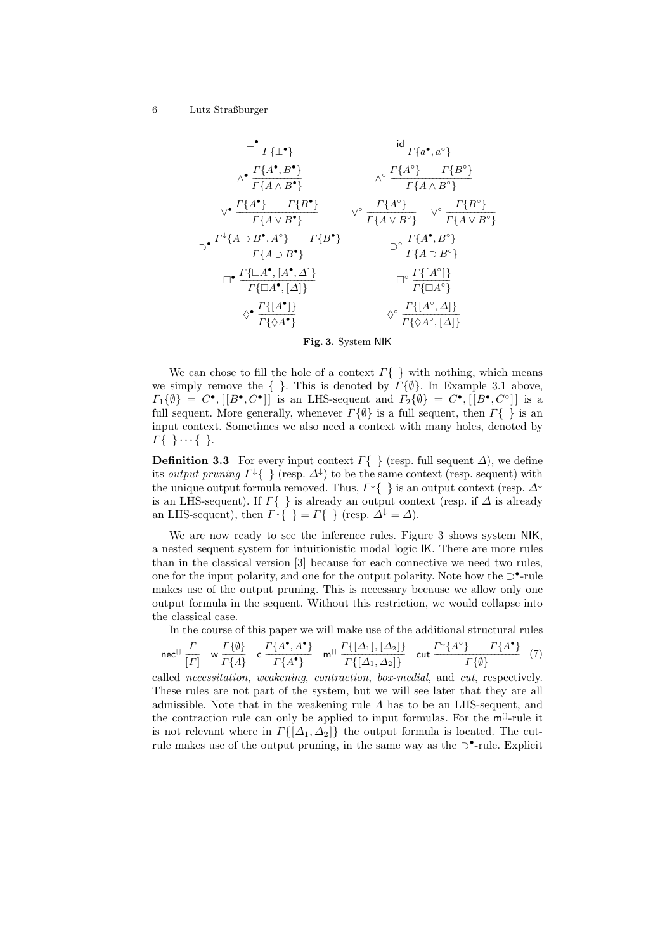$$
\begin{array}{ccc}\n\perp^{\bullet} & \text{id} & \overline{r_{\{a^{\bullet}, a^{\circ}\}}} \\
\wedge^{\bullet} & \overline{\Gamma\{A \land B^{\bullet}\}} & \wedge^{\circ} & \overline{\Gamma\{A \land B^{\circ}\}} \\
\vee^{\bullet} & \overline{\Gamma\{A \land B^{\bullet}\}} & \vee^{\circ} & \overline{\Gamma\{A \land B^{\circ}\}} \\
\end{array}
$$
\n
$$
\Rightarrow^{\bullet} \frac{\Gamma\{A^{\bullet}\} - \Gamma\{B^{\bullet}\}}{\Gamma\{A \lor B^{\bullet}\}} & \vee^{\circ} & \overline{\Gamma\{A \land B^{\circ}\}} & \vee^{\circ} & \overline{\Gamma\{B^{\circ}\}} \\
\Rightarrow^{\bullet} & \overline{\Gamma\{A \lor B^{\bullet}\}} & \overline{\Gamma\{A \lor B^{\circ}\}} & \overline{\Gamma\{A \lor B^{\circ}\}} \\
\Rightarrow^{\bullet} & \overline{\Gamma\{A \supset B^{\bullet}\} \} & \overline{\Gamma\{A \supset B^{\circ}\}} \\
\Box^{\bullet} & \overline{\Gamma\{\Box A^{\bullet}, [A^{\bullet}, \Delta]\}} & \overline{\Box}^{\circ} & \overline{\Gamma\{A^{\bullet}\} \} \\
\Diamond^{\bullet} & \overline{\Gamma\{\Box A^{\bullet}, [A^{\bullet}]\}} & \overline{\Box}^{\circ} & \overline{\Gamma\{A^{\circ}\}} \\
\Diamond^{\bullet} & \overline{\Gamma\{\Diamond A^{\circ}\}} & \Diamond^{\circ} & \overline{\Gamma\{A^{\circ}, \Delta\}} \\
\end{array}
$$

Fig. 3. System NIK

We can chose to fill the hole of a context  $\Gamma\{\}\}\$  with nothing, which means we simply remove the  $\{\,\}$ . This is denoted by  $\Gamma\{\emptyset\}$ . In Example 3.1 above,  $\Gamma_1\{\emptyset\} = C^{\bullet}, [[B^{\bullet}, C^{\bullet}]]$  is an LHS-sequent and  $\Gamma_2\{\emptyset\} = C^{\bullet}, [[B^{\bullet}, C^{\circ}]]$  is a full sequent. More generally, whenever  $\Gamma\{\emptyset\}$  is a full sequent, then  $\Gamma\{\}$  is an input context. Sometimes we also need a context with many holes, denoted by  $\Gamma\{\ \}\cdots\{\ \}.$ 

**Definition 3.3** For every input context  $\Gamma\{\}\$  (resp. full sequent  $\Delta$ ), we define its *output pruning*  $\Gamma^{\downarrow}$  { } (resp.  $\Delta^{\downarrow}$ ) to be the same context (resp. sequent) with the unique output formula removed. Thus,  $\Gamma^{\downarrow} \{\ \}$  is an output context (resp.  $\Delta^{\downarrow}$ is an LHS-sequent). If  $\varGamma\{\phantom{\cdot}\}$  is already an output context (resp. if  $\varDelta$  is already an LHS-sequent), then  $\Gamma^{\downarrow} \{ \} = \Gamma \{ \}$  (resp.  $\Delta^{\downarrow} = \Delta$ ).

We are now ready to see the inference rules. Figure 3 shows system NIK, a nested sequent system for intuitionistic modal logic IK. There are more rules than in the classical version [3] because for each connective we need two rules, one for the input polarity, and one for the output polarity. Note how the ⊃•-rule makes use of the output pruning. This is necessary because we allow only one output formula in the sequent. Without this restriction, we would collapse into the classical case.

In the course of this paper we will make use of the additional structural rules

$$
\text{nec}^{[1]} \frac{\Gamma}{[\Gamma]} \quad \text{w} \frac{\Gamma\{\emptyset\}}{\Gamma\{A\}} \quad \text{c} \frac{\Gamma\{A^\bullet, A^\bullet\}}{\Gamma\{A^\bullet\}} \quad \text{m}^{[1]} \frac{\Gamma\{[\Delta_1], [\Delta_2]\}}{\Gamma\{[\Delta_1, \Delta_2]\}} \quad \text{cut} \frac{\Gamma^{\downarrow}\{A^\circ\}}{\Gamma\{\emptyset\}} \quad (7)
$$

called necessitation, weakening, contraction, box-medial, and cut, respectively. These rules are not part of the system, but we will see later that they are all admissible. Note that in the weakening rule  $\Lambda$  has to be an LHS-sequent, and the contraction rule can only be applied to input formulas. For the  $m<sup>[1]</sup>$ -rule it is not relevant where in  $\Gamma\{[\Delta_1,\Delta_2]\}\)$  the output formula is located. The cutrule makes use of the output pruning, in the same way as the ⊃•-rule. Explicit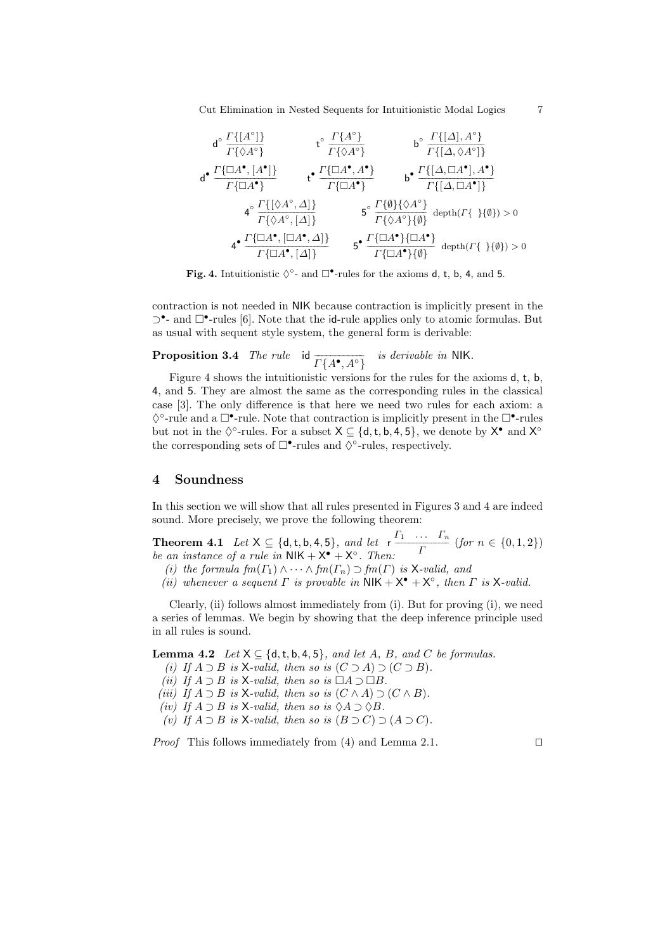Cut Elimination in Nested Sequents for Intuitionistic Modal Logics 7

$$
d^{\circ} \frac{\Gamma\{[A^{\circ}]\}}{\Gamma\{\bigtriangleup\mathbf{A}^{\circ}\}} \qquad t^{\circ} \frac{\Gamma\{A^{\circ}\}}{\Gamma\{\bigtriangleup A^{\circ}\}} \qquad b^{\circ} \frac{\Gamma\{[A], A^{\circ}\}}{\Gamma\{[A, \bigtriangleup A^{\circ}]\}}
$$

$$
d^{\bullet} \frac{\Gamma\{\Box A^{\bullet}, [A^{\bullet}]\}}{\Gamma\{\Box A^{\bullet}\}} \qquad t^{\bullet} \frac{\Gamma\{\Box A^{\bullet}, A^{\bullet}\}}{\Gamma\{\Box A^{\bullet}\}} \qquad b^{\bullet} \frac{\Gamma\{[A, \Box A^{\bullet}], A^{\bullet}\}}{\Gamma\{[A, \Box A^{\bullet}]\}}
$$

$$
4^{\circ} \frac{\Gamma\{[\bigtriangleup A^{\circ}, \Delta]\}}{\Gamma\{\bigtriangleup A^{\circ}, [A]\}} \qquad 5^{\circ} \frac{\Gamma\{\emptyset\} \{\bigtriangleup A^{\circ}\}}{\Gamma\{\bigtriangleup A^{\bullet}\}\{\emptyset\}} \qquad \text{depth}( \Gamma\{\ \mathcal{H}\emptyset\}) > 0
$$

$$
4^{\bullet} \frac{\Gamma\{\Box A^{\bullet}, [\Box A^{\bullet}, \Delta]\}}{\Gamma\{\Box A^{\bullet}, [A]\}} \qquad 5^{\bullet} \frac{\Gamma\{\Box A^{\bullet}\}\{\Box A^{\bullet}\}}{\Gamma\{\Box A^{\bullet}\}\{\emptyset\}} \qquad \text{depth}( \Gamma\{\ \mathcal{H}\emptyset\}) > 0
$$

Fig. 4. Intuitionistic  $\Diamond^{\circ}$ - and  $\Box^{\bullet}$ -rules for the axioms d, t, b, 4, and 5.

contraction is not needed in NIK because contraction is implicitly present in the ⊃<sup>•</sup>- and □<sup>•</sup>-rules [6]. Note that the id-rule applies only to atomic formulas. But as usual with sequent style system, the general form is derivable:

**Proposition 3.4** The rule id  $\overline{\Gamma\{A^{\bullet}, A^{\circ}\}}$  is derivable in NIK.

Figure 4 shows the intuitionistic versions for the rules for the axioms d, t, b, 4, and 5. They are almost the same as the corresponding rules in the classical case [3]. The only difference is that here we need two rules for each axiom: a  $\Diamond^{\circ}$ -rule and a  $\Box^{\bullet}$ -rule. Note that contraction is implicitly present in the  $\Box^{\bullet}$ -rules but not in the  $\Diamond^{\circ}$ -rules. For a subset  $X \subseteq \{d, t, b, 4, 5\}$ , we denote by  $X^{\bullet}$  and  $X^{\circ}$ the corresponding sets of  $\Box$ •-rules and  $\Diamond$ °-rules, respectively.

# 4 Soundness

In this section we will show that all rules presented in Figures 3 and 4 are indeed sound. More precisely, we prove the following theorem:

**Theorem 4.1** Let  $X \subseteq \{d, t, b, 4, 5\}$ , and let  $r \stackrel{\Gamma_1}{\longrightarrow} \cdots \stackrel{\Gamma_n}{\longrightarrow}$  $\frac{n}{\Gamma}$  (for  $n \in \{0, 1, 2\}$ ) be an instance of a rule in  $NIK + X^{\bullet} + X^{\circ}$ . Then:

- (i) the formula  $fm(\Gamma_1) \wedge \cdots \wedge fm(\Gamma_n) \supset fm(\Gamma)$  is X-valid, and
- (ii) whenever a sequent  $\Gamma$  is provable in  $NIK + X^{\bullet} + X^{\circ}$ , then  $\Gamma$  is X-valid.

Clearly, (ii) follows almost immediately from (i). But for proving (i), we need a series of lemmas. We begin by showing that the deep inference principle used in all rules is sound.

**Lemma 4.2** Let  $X \subseteq \{d, t, b, 4, 5\}$ , and let A, B, and C be formulas.

- (i) If  $A \supset B$  is X-valid, then so is  $(C \supset A) \supset (C \supset B)$ .
- (ii) If  $A \supset B$  is X-valid, then so is  $\Box A \supset \Box B$ .
- (iii) If  $A \supset B$  is X-valid, then so is  $(C \wedge A) \supset (C \wedge B)$ .
- (iv) If  $A \supset B$  is X-valid, then so is  $\Diamond A \supset \Diamond B$ .
- (v) If  $A \supset B$  is X-valid, then so is  $(B \supset C) \supset (A \supset C)$ .

*Proof* This follows immediately from (4) and Lemma 2.1. □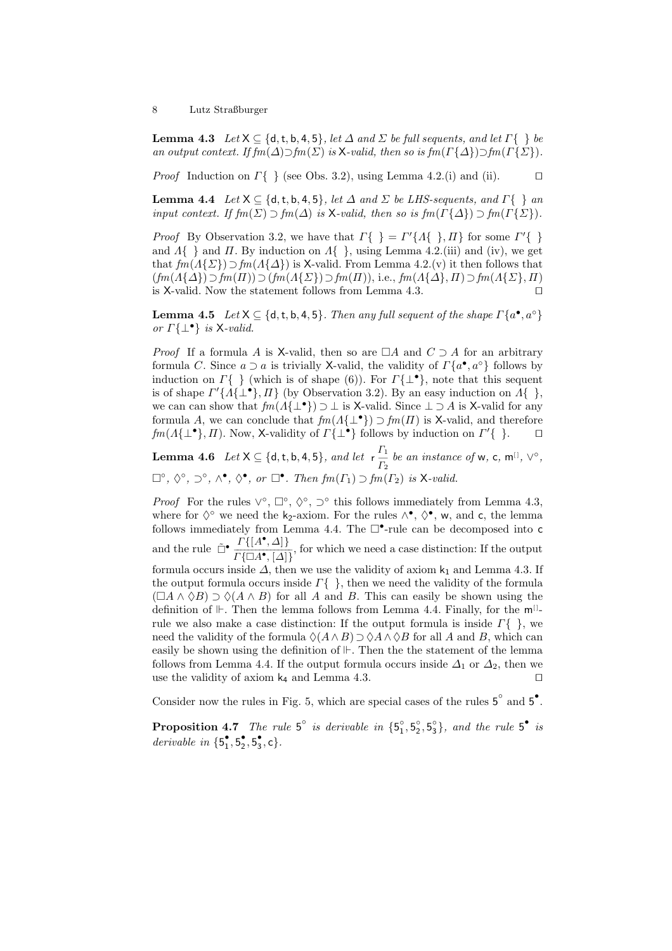**Lemma 4.3** Let  $X \subseteq \{d, t, b, 4, 5\}$ , let  $\Delta$  and  $\Sigma$  be full sequents, and let  $\Gamma\{\}\}$  be an output context. If  $f m(\Delta) \supset f m(\Sigma)$  is X-valid, then so is  $f m(\Gamma\{\Delta\}) \supset f m(\Gamma\{\Sigma\}).$ 

*Proof* Induction on  $\Gamma\{\}\$  (see Obs. 3.2), using Lemma 4.2.(i) and (ii). □

**Lemma 4.4** Let  $X \subseteq \{d, t, b, 4, 5\}$ , let  $\Delta$  and  $\Sigma$  be LHS-sequents, and  $\Gamma\{\}\$ an input context. If  $f m(\Sigma) \supset f m(\Delta)$  is X-valid, then so is  $f m(\Gamma {\{\Delta\}}) \supset f m(\Gamma {\{\Sigma\}})$ .

*Proof* By Observation 3.2, we have that  $\Gamma\{\} = \Gamma'\{A\{\},\Pi\}$  for some  $\Gamma'\{\}$ and  $\Lambda\{\}\$  and  $\Pi$ . By induction on  $\Lambda\{\}\,$ , using Lemma 4.2.(iii) and (iv), we get that  $fm(A\{\Sigma\})\supset fm(A\{\Delta\})$  is X-valid. From Lemma 4.2.(v) it then follows that  $(fm(\Lambda\{\Delta\})\supset fm(\Pi))\supset (fm(\Lambda\{\Sigma\})\supset fm(\Pi)),$  i.e.,  $fm(\Lambda\{\Delta\},\Pi)\supset fm(\Lambda\{\Sigma\},\Pi)$ is X-valid. Now the statement follows from Lemma 4.3. ⊓⊔

**Lemma 4.5** Let  $X \subseteq \{d, t, b, 4, 5\}$ . Then any full sequent of the shape  $\Gamma\{a^{\bullet}, a^{\circ}\}\$ or  $\Gamma\{\perp\bullet\}$  is X-valid.

*Proof* If a formula A is X-valid, then so are  $\Box A$  and  $C \supset A$  for an arbitrary formula C. Since  $a \supset a$  is trivially X-valid, the validity of  $\Gamma\{a^{\bullet}, a^{\circ}\}\$ follows by induction on  $\Gamma\{\}\$  (which is of shape (6)). For  $\Gamma\{\perp^{\bullet}\}\$ , note that this sequent is of shape  $\Gamma'\{\tilde{A}\{\perp^{\bullet}\},\Pi\}$  (by Observation 3.2). By an easy induction on  $\tilde{A}\{\}$ , we can can show that  $fm(A\{\perp^{\bullet}\}) \supset \perp$  is X-valid. Since  $\perp \supset A$  is X-valid for any formula A, we can conclude that  $\mathit{fm}(A\{\perp^{\bullet}\}) \supset \mathit{fm}(\Pi)$  is X-valid, and therefore  $fm(A\{\perp^{\bullet}\}, \Pi)$ . Now, X-validity of  $\Gamma\{\perp^{\bullet}\}\$  follows by induction on  $\Gamma'\{\;\}.$  □

**Lemma 4.6** Let  $X \subseteq \{d, t, b, 4, 5\}$ , and let  $r \frac{\Gamma_1}{P}$  $\frac{I_1}{I_2}$  be an instance of w, c, m<sup>[]</sup>,  $\vee^{\circ}$ ,  $\Box^{\circ}, \Diamond^{\circ}, \supset^{\circ}, \wedge^{\bullet}, \Diamond^{\bullet}, \text{ or } \Box^{\bullet}.$  Then  $\text{fm}(\Gamma_1) \supset \text{fm}(\Gamma_2)$  is X-valid.

*Proof* For the rules  $\vee^{\circ}$ ,  $\square^{\circ}$ ,  $\Diamond^{\circ}$ ,  $\square^{\circ}$  this follows immediately from Lemma 4.3, where for  $\Diamond^{\circ}$  we need the k<sub>2</sub>-axiom. For the rules  $\land^{\bullet}$ ,  $\Diamond^{\bullet}$ , w, and c, the lemma follows immediately from Lemma 4.4. The  $\Box$ •-rule can be decomposed into c and the rule  $\tilde{\Box}^{\bullet} \frac{\Gamma\{[A^{\bullet}, \Delta]\}}{\Gamma\{\Box A^{\bullet}, [\Delta]\}}$ , for which we need a case distinction: If the output formula occurs inside  $\Delta$ , then we use the validity of axiom  $k_1$  and Lemma 4.3. If the output formula occurs inside  $\Gamma\{\}$ , then we need the validity of the formula  $(\Box A \land \Diamond B) \supset \Diamond (A \land B)$  for all A and B. This can easily be shown using the definition of  $\mathbb{H}$ . Then the lemma follows from Lemma 4.4. Finally, for the  $m^{[]}$ rule we also make a case distinction: If the output formula is inside  $\Gamma\{\}$ , we need the validity of the formula  $\Diamond(A \land B) \supset \Diamond A \land \Diamond B$  for all A and B, which can easily be shown using the definition of . Then the the statement of the lemma follows from Lemma 4.4. If the output formula occurs inside  $\Delta_1$  or  $\Delta_2$ , then we use the validity of axiom k<sub>4</sub> and Lemma 4.3. □

Consider now the rules in Fig. 5, which are special cases of the rules  $5^{\circ}$  and  $5^{\circ}$ .

**Proposition 4.7** The rule 5° is derivable in  $\{5^{\circ}_1, 5^{\circ}_2, 5^{\circ}_3\}$ , and the rule 5° is derivable in  $\{5_1^\bullet, 5_2^\bullet, 5_3^\bullet, c\}.$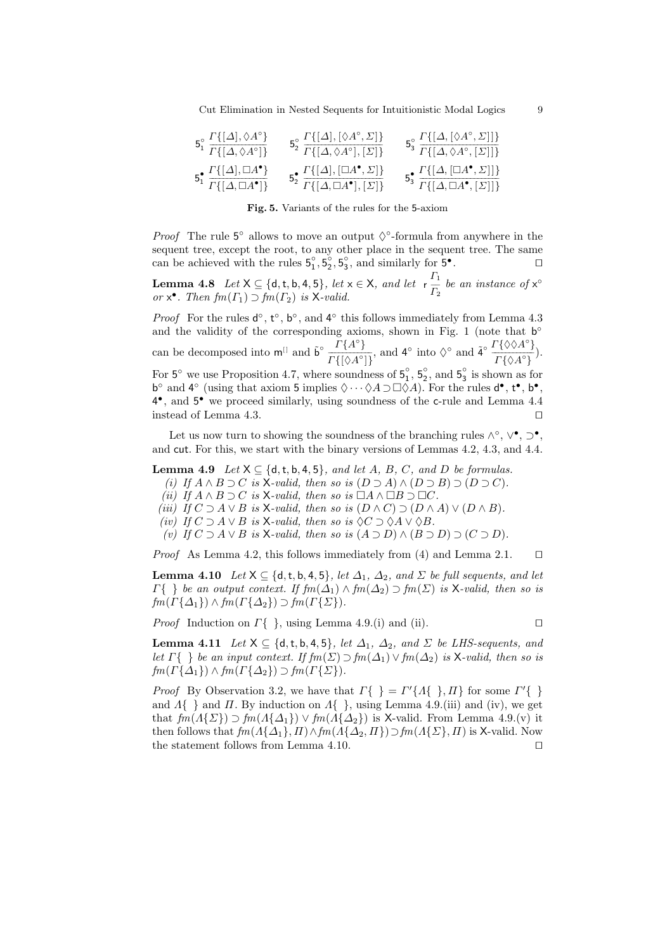Cut Elimination in Nested Sequents for Intuitionistic Modal Logics 9

| $F^{\circ}$ $\Gamma\{[\Delta], \Diamond A^{\circ}\}$              | $\mathcal{F}^{\circ}$ $\Gamma\{[\Delta], [\Diamond A^{\circ}, \Sigma]\}$          | $_{\mathbf{F}^{\circ}}$ $\Gamma\{[\Delta,[\Diamond A^{\circ},\Sigma]]\}$   |
|-------------------------------------------------------------------|-----------------------------------------------------------------------------------|----------------------------------------------------------------------------|
| $\overline{I^{\{A,\Diamond A^{\circ}\}}}$                         | $T\left\{ \left[ \Delta,\Diamond A^{\circ}\right] ,\left[ \Sigma\right] \right\}$ | $\sigma_3 \overline{\Gamma\{[\Delta, \Diamond A^\circ, [\Sigma]]\}}$       |
| $\Gamma\{[\Delta], \Box A^{\bullet}\}$                            | $_{\mathbf{E}}$ • $\Gamma\{[\Delta], [\Box A^{\bullet}, \Sigma]\}$                | $\Gamma\{[\Delta, [\Box A^{\bullet}, \Sigma]]\}$                           |
| $\overline{D_1}$ $\overline{\Gamma\{[\Delta,\Box A^{\bullet}]\}}$ | $T\{[\Delta,\Box A^{\bullet}], [\Sigma]\}$                                        | $\overline{C_3}$ $\overline{\Gamma\{[\Delta,\Box A^{\bullet},[\Sigma]]\}}$ |

Fig. 5. Variants of the rules for the 5-axiom

*Proof* The rule  $5^{\circ}$  allows to move an output  $\Diamond^{\circ}$ -formula from anywhere in the sequent tree, except the root, to any other place in the sequent tree. The same can be achieved with the rules  $5^{\circ}_1, 5^{\circ}_2, 5^{\circ}_3$ , and similarly for  $5^{\circ}$  $\Box$ 

**Lemma 4.8** Let  $X \subseteq \{d, t, b, 4, 5\}$ , let  $x \in X$ , and let  $r \frac{\Gamma_1}{\Gamma_2}$  $rac{1}{\Gamma_2}$  be an instance of  $x^{\circ}$ or  $x^{\bullet}$ . Then  $fm(\Gamma_1) \supset fm(\Gamma_2)$  is X-valid.

*Proof* For the rules  $d^{\circ}$ ,  $t^{\circ}$ ,  $b^{\circ}$ , and  $4^{\circ}$  this follows immediately from Lemma 4.3 and the validity of the corresponding axioms, shown in Fig. 1 (note that  $b^{\circ}$ can be decomposed into  $\mathbf{m}^{[1]}$  and  $\tilde{\mathbf{b}}^{\circ}$   $\frac{\Gamma\{A^{\circ}\}}{\Gamma\{A\} \Gamma\{A^{\circ}\}}}$  $\frac{\Gamma\{A^{\circ}\}}{\Gamma\{\{\lambda A^{\circ}\}\}}$ , and  $4^{\circ}$  into  $\Diamond^{\circ}$  and  $4^{\circ}$   $\frac{\Gamma\{\Diamond\lambda A^{\circ}\}}{\Gamma\{\lambda A^{\circ}\}}$  $\frac{\Gamma(\sqrt{3}+1)}{\Gamma(\sqrt{3}+1)}$ ). For  $5^\circ$  we use Proposition 4.7, where soundness of  $5^\circ_1$ ,  $5^\circ_2$ , and  $5^\circ_3$  is shown as for b<sup>o</sup> and 4<sup>o</sup> (using that axiom 5 implies  $\Diamond \cdots \Diamond A \supset \Box \Diamond A$ ). For the rules  $d^{\bullet}, t^{\bullet}, b^{\bullet}$ , 4 • , and 5 • we proceed similarly, using soundness of the c-rule and Lemma 4.4 instead of Lemma 4.3. ⊓⊔

Let us now turn to showing the soundness of the branching rules  $\wedge^{\circ}$ ,  $\vee^{\bullet}$ ,  $\supset^{\bullet}$ , and cut. For this, we start with the binary versions of Lemmas 4.2, 4.3, and 4.4.

**Lemma 4.9** Let  $X \subseteq \{d, t, b, 4, 5\}$ , and let A, B, C, and D be formulas.

(i) If  $A \wedge B \supset C$  is X-valid, then so is  $(D \supset A) \wedge (D \supset B) \supset (D \supset C)$ .

(ii) If  $A \wedge B \supset C$  is X-valid, then so is  $\Box A \wedge \Box B \supset \Box C$ .

(iii) If  $C \supset A \vee B$  is X-valid, then so is  $(D \wedge C) \supset (D \wedge A) \vee (D \wedge B)$ .

(iv) If  $C \supset A \vee B$  is X-valid, then so is  $\Diamond C \supset \Diamond A \vee \Diamond B$ .

(v) If  $C \supset A \vee B$  is X-valid, then so is  $(A \supset D) \wedge (B \supset D) \supset (C \supset D)$ .

*Proof* As Lemma 4.2, this follows immediately from (4) and Lemma 2.1. □

**Lemma 4.10** Let  $X \subseteq \{d, t, b, 4, 5\}$ , let  $\Delta_1$ ,  $\Delta_2$ , and  $\Sigma$  be full sequents, and let  $\Gamma\{\}\$ be an output context. If  $\mathit{fm}(\Delta_1) \wedge \mathit{fm}(\Delta_2) \supset \mathit{fm}(\Sigma)$  is X-valid, then so is  $fm(\Gamma\{\Delta_1\}) \wedge fm(\Gamma\{\Delta_2\}) \supset fm(\Gamma\{\Sigma\}).$ 

*Proof* Induction on  $\Gamma\{\}$ , using Lemma 4.9.(i) and (ii). □

**Lemma 4.11** Let  $X \subseteq \{d, t, b, 4, 5\}$ , let  $\Delta_1$ ,  $\Delta_2$ , and  $\Sigma$  be LHS-sequents, and let  $\Gamma\{\}\}$  be an input context. If  $fm(\Sigma) \supset fm(\Delta_1) \vee fm(\Delta_2)$  is X-valid, then so is  $fm(\Gamma\{\Delta_1\}) \wedge fm(\Gamma\{\Delta_2\}) \supset fm(\Gamma\{\Sigma\}).$ 

*Proof* By Observation 3.2, we have that  $\Gamma\{\} = \Gamma'\{A\{\},\Pi\}$  for some  $\Gamma'\{\}$ and  $\Lambda$ { } and  $\overline{II}$ . By induction on  $\Lambda$ { }, using Lemma 4.9.(iii) and (iv), we get that  $\text{fm}(A\{\Sigma\}) \supset \text{fm}(A\{\Delta_1\}) \vee \text{fm}(A\{\Delta_2\})$  is X-valid. From Lemma 4.9.(v) it then follows that  $f m(A\{\Delta_1\},\Pi) \wedge f m(A\{\Delta_2,\Pi\}) \supset f m(A\{\Sigma\},\Pi)$  is X-valid. Now the statement follows from Lemma 4.10. ⊓⊔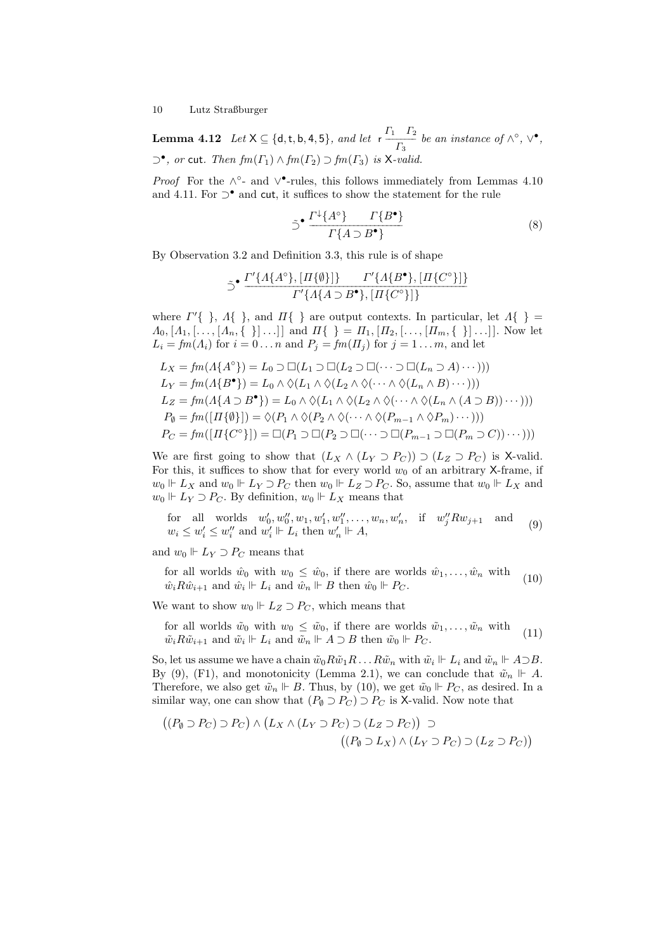**Lemma 4.12** Let  $X \subseteq \{d, t, b, 4, 5\}$ , and let  $r \frac{\Gamma_1 \Gamma_2}{P_1}$  $\frac{1}{\Gamma_3}$  be an instance of  $\wedge^\circ$ ,  $\vee^\bullet$ ,  $\supset^{\bullet}$ , or cut. Then  $\mathit{fm}(\Gamma_1) \wedge \mathit{fm}(\Gamma_2) \supset \mathit{fm}(\Gamma_3)$  is X-valid.

*Proof* For the  $\wedge^{\circ}$ - and  $\vee^{\bullet}$ -rules, this follows immediately from Lemmas 4.10 and 4.11. For  $\supset^{\bullet}$  and cut, it suffices to show the statement for the rule

$$
\tilde{\supset}^{\bullet} \frac{\Gamma^{\downarrow}\{A^{\circ}\}\qquad \Gamma\{B^{\bullet}\}}{\Gamma\{A \supset B^{\bullet}\}} \tag{8}
$$

By Observation 3.2 and Definition 3.3, this rule is of shape

$$
\supset^{\bullet} \frac{\Gamma'\{\Lambda\{A^{\circ}\},[\Pi\{\emptyset\}]\}\qquad \Gamma'\{\Lambda\{B^{\bullet}\},[\Pi\{C^{\circ}\}]\}}{\Gamma'\{\Lambda\{\Lambda\supset B^{\bullet}\},[\Pi\{C^{\circ}\}]\}}
$$

where  $\Gamma'$ { },  $\Lambda$ { }, and  $\Pi$ { } are output contexts. In particular, let  $\Lambda$ { } =  $\Lambda_0, [\Lambda_1, [\ldots, [\Lambda_n, {\{\ } \}] \ldots]]$  and  $\Pi{\{\ } = \Pi_1, [\Pi_2, [\ldots, [\Pi_m, {\{\ } \}] \ldots]]$ . Now let  $L_i = fm(\Lambda_i)$  for  $i = 0 \ldots n$  and  $P_j = fm(\Pi_j)$  for  $j = 1 \ldots m$ , and let

$$
L_X = fm(A\{A^{\circ}\}) = L_0 \supset \Box(L_1 \supset \Box(L_2 \supset \Box(\cdots \supset \Box(L_n \supset A)\cdots)))
$$
  
\n
$$
L_Y = fm(A\{B^{\bullet}\}) = L_0 \wedge \Diamond(L_1 \wedge \Diamond(L_2 \wedge \Diamond(\cdots \wedge \Diamond(L_n \wedge B)\cdots)))
$$
  
\n
$$
L_Z = fm(A\{A \supset B^{\bullet}\}) = L_0 \wedge \Diamond(L_1 \wedge \Diamond(L_2 \wedge \Diamond(\cdots \wedge \Diamond(L_n \wedge (A \supset B))\cdots)))
$$
  
\n
$$
P_{\emptyset} = fm([H\{\emptyset\}]) = \Diamond(P_1 \wedge \Diamond(P_2 \wedge \Diamond(\cdots \wedge \Diamond(P_{m-1} \wedge \Diamond P_m)\cdots)))
$$
  
\n
$$
P_C = fm([H\{C^{\circ}\}]) = \Box(P_1 \supset \Box(P_2 \supset \Box(\cdots \supset \Box(P_{m-1} \supset \Box(P_m \supset C))\cdots)))
$$

We are first going to show that  $(L_X \wedge (L_Y \supset P_C)) \supset (L_Z \supset P_C)$  is X-valid. For this, it suffices to show that for every world  $w_0$  of an arbitrary X-frame, if  $w_0 \Vdash L_X$  and  $w_0 \Vdash L_Y \supset P_C$  then  $w_0 \Vdash L_Z \supset P_C$ . So, assume that  $w_0 \Vdash L_X$  and  $w_0 \Vdash L_Y \supset P_C$ . By definition,  $w_0 \Vdash L_X$  means that

for all worlds  $w'_0, w''_0, w_1, w'_1, w''_1, \ldots, w_n, w'_n$ , if  $w''_j R w_{j+1}$  and  $w_i \leq w'_i \leq w''_i$  and  $w'_i \Vdash L_i$  then  $w'_n \Vdash A$ , (9)

and  $w_0 \Vdash L_Y \supset P_C$  means that

for all worlds  $\hat{w}_0$  with  $w_0 \leq \hat{w}_0$ , if there are worlds  $\hat{w}_1, \dots, \hat{w}_n$  with  $\hat{w}_i R \hat{w}_{i+1}$  and  $\hat{w}_i \Vdash L_i$  and  $\hat{w}_n \Vdash B$  then  $\hat{w}_0 \Vdash P_C$ . (10)

We want to show  $w_0 \Vdash L_Z \supset P_C$ , which means that

for all worlds  $\tilde{w}_0$  with  $w_0 \leq \tilde{w}_0$ , if there are worlds  $\tilde{w}_1, \ldots, \tilde{w}_n$  with  $\tilde{w}_i R \tilde{w}_{i+1}$  and  $\tilde{w}_i \Vdash L_i$  and  $\tilde{w}_n \Vdash A \supset B$  then  $\tilde{w}_0 \Vdash P_C$ . (11)

So, let us assume we have a chain  $\tilde{w}_0 R \tilde{w}_1 R \dots R \tilde{w}_n$  with  $\tilde{w}_i \Vdash L_i$  and  $\tilde{w}_n \Vdash A \supset B$ . By (9), (F1), and monotonicity (Lemma 2.1), we can conclude that  $\tilde{w}_n \Vdash A$ . Therefore, we also get  $\tilde{w}_n \Vdash B$ . Thus, by (10), we get  $\tilde{w}_0 \Vdash P_C$ , as desired. In a similar way, one can show that  $(P_{\emptyset} \supset P_C) \supset P_C$  is X-valid. Now note that

$$
((P_{\emptyset} \supset P_C) \supset P_C) \wedge (L_X \wedge (L_Y \supset P_C) \supset (L_Z \supset P_C)) \supset
$$
  

$$
((P_{\emptyset} \supset L_X) \wedge (L_Y \supset P_C) \supset (L_Z \supset P_C))
$$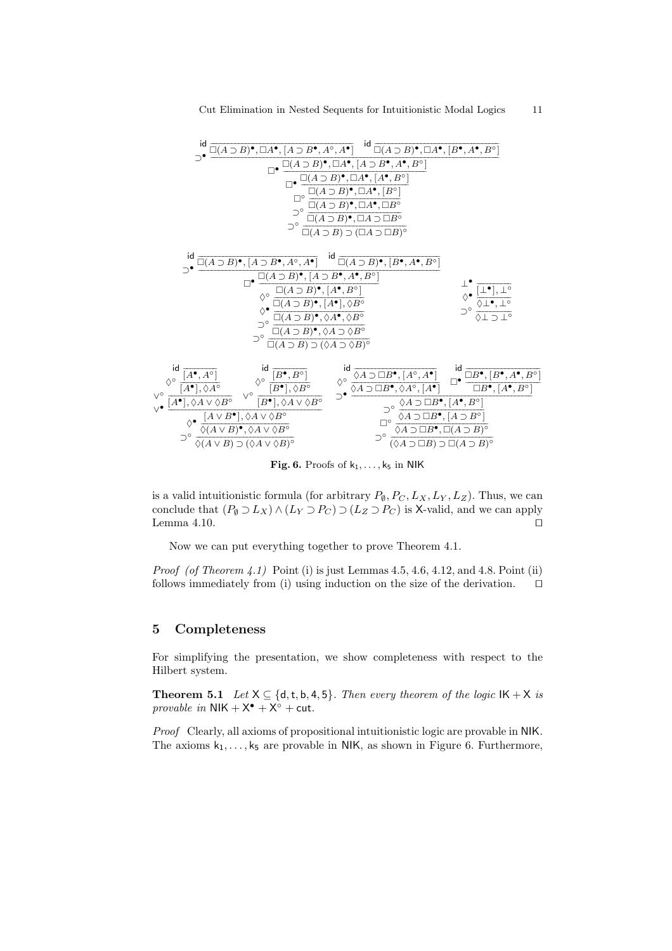

Fig. 6. Proofs of  $k_1, \ldots, k_5$  in NIK

is a valid intuitionistic formula (for arbitrary  $P_{\emptyset}$ ,  $P_C$ ,  $L_X$ ,  $L_Y$ ,  $L_Z$ ). Thus, we can conclude that  $(P_{\emptyset} \supset L_X) \wedge (L_Y \supset P_C) \supset (L_Z \supset P_C)$  is X-valid, and we can apply Lemma 4.10.  $□$ 

Now we can put everything together to prove Theorem 4.1.

*Proof (of Theorem 4.1)* Point (i) is just Lemmas  $4.5, 4.6, 4.12,$  and  $4.8$ . Point (ii) follows immediately from (i) using induction on the size of the derivation. ⊓⊔

# 5 Completeness

For simplifying the presentation, we show completeness with respect to the Hilbert system.

**Theorem 5.1** Let  $X \subseteq \{d, t, b, 4, 5\}$ . Then every theorem of the logic  $IK + X$  is provable in  $NIK + X^{\bullet} + X^{\circ} + \text{cut}.$ 

Proof Clearly, all axioms of propositional intuitionistic logic are provable in NIK. The axioms  $k_1, \ldots, k_5$  are provable in NIK, as shown in Figure 6. Furthermore,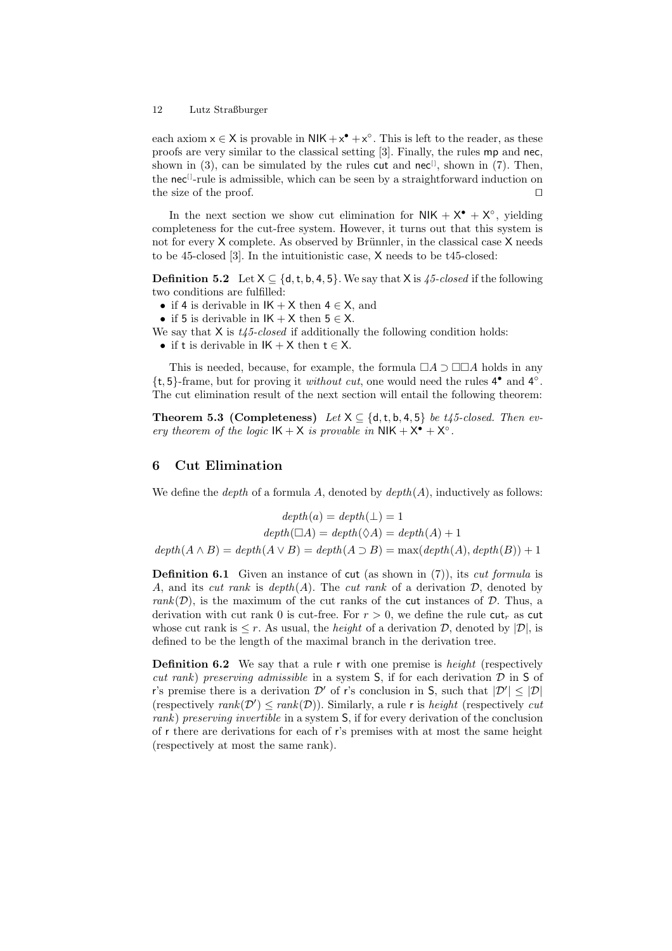each axiom  $x \in X$  is provable in  $NIK + x^{\bullet} + x^{\circ}$ . This is left to the reader, as these proofs are very similar to the classical setting [3]. Finally, the rules mp and nec, shown in (3), can be simulated by the rules cut and nec<sup>[1]</sup>, shown in (7). Then, the nec<sup>[]</sup>-rule is admissible, which can be seen by a straightforward induction on the size of the proof. □

In the next section we show cut elimination for  $NIK + X^{\bullet} + X^{\circ}$ , yielding completeness for the cut-free system. However, it turns out that this system is not for every  $X$  complete. As observed by Brünnler, in the classical case  $X$  needs to be 45-closed [3]. In the intuitionistic case, X needs to be t45-closed:

**Definition 5.2** Let  $X \subseteq \{d, t, b, 4, 5\}$ . We say that X is 45-closed if the following two conditions are fulfilled:

- if 4 is derivable in  $IK + X$  then  $4 \in X$ , and
- if 5 is derivable in  $IK + X$  then  $5 \in X$ .
- We say that  $X$  is  $t/45$ -closed if additionally the following condition holds:
	- if t is derivable in  $IK + X$  then  $t \in X$ .

This is needed, because, for example, the formula  $\Box A \supset \Box \Box A$  holds in any  $\{t, 5\}$ -frame, but for proving it *without cut*, one would need the rules  $4^{\circ}$  and  $4^{\circ}$ . The cut elimination result of the next section will entail the following theorem:

**Theorem 5.3 (Completeness)** Let  $X \subseteq \{d, t, b, 4, 5\}$  be t45-closed. Then every theorem of the logic  $IK + X$  is provable in  $NIK + X^{\bullet} + X^{\circ}$ .

# 6 Cut Elimination

We define the *depth* of a formula A, denoted by  $depth(A)$ , inductively as follows:

$$
depth(a) = depth(\bot) = 1
$$

$$
depth(\Box A) = depth(\Diamond A) = depth(A) + 1
$$

$$
depth(A \land B) = depth(A \lor B) = depth(A \supset B) = max(depth(A), depth(B)) + 1
$$

**Definition 6.1** Given an instance of cut (as shown in  $(7)$ ), its *cut formula* is A, and its cut rank is  $depth(A)$ . The cut rank of a derivation  $D$ , denoted by rank $(D)$ , is the maximum of the cut ranks of the cut instances of D. Thus, a derivation with cut rank 0 is cut-free. For  $r > 0$ , we define the rule cut, as cut whose cut rank is  $\leq r$ . As usual, the *height* of a derivation D, denoted by  $|\mathcal{D}|$ , is defined to be the length of the maximal branch in the derivation tree.

**Definition 6.2** We say that a rule r with one premise is *height* (respectively cut rank) preserving admissible in a system  $S$ , if for each derivation  $D$  in  $S$  of r's premise there is a derivation  $\mathcal{D}'$  of r's conclusion in S, such that  $|\mathcal{D}'| \leq |\mathcal{D}|$ (respectively  $rank(\mathcal{D}') \leq rank(\mathcal{D})$ ). Similarly, a rule r is *height* (respectively *cut* rank) preserving invertible in a system S, if for every derivation of the conclusion of r there are derivations for each of r's premises with at most the same height (respectively at most the same rank).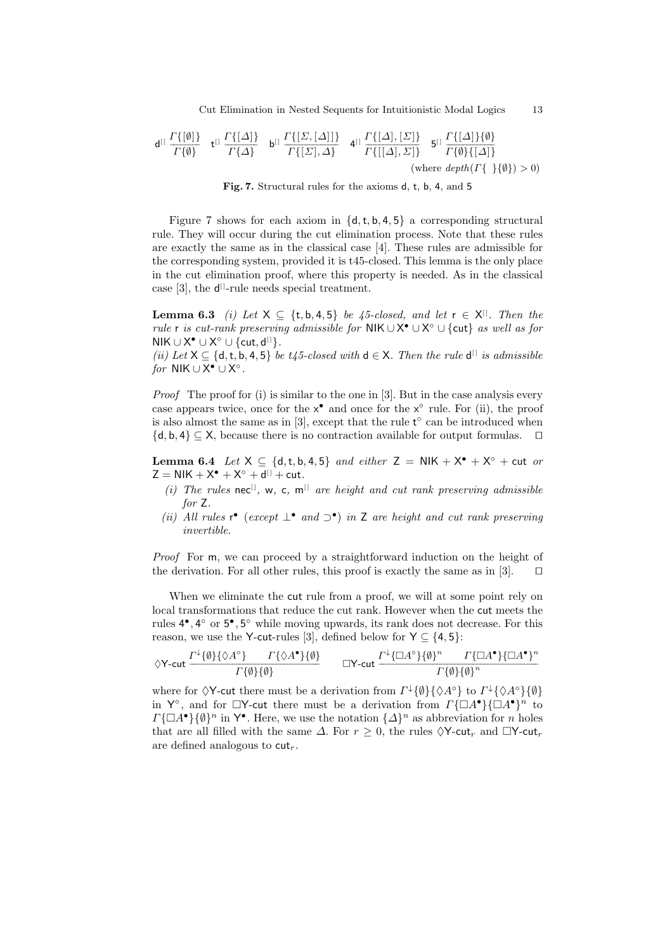Cut Elimination in Nested Sequents for Intuitionistic Modal Logics 13

$$
\mathsf{d}^{[1]}\frac{\Gamma\{[\emptyset]\}}{\Gamma\{\emptyset\}}\quad \mathsf{t}^{[1]}\frac{\Gamma\{[\Delta]\}}{\Gamma\{\Delta\}}\quad \mathsf{b}^{[1]}\frac{\Gamma\{[\Sigma,[\Delta]]\}}{\Gamma\{[\Sigma],\Delta\}}\quad \mathsf{d}^{[1]}\frac{\Gamma\{[\Delta],[\Sigma]\}}{\Gamma\{[[\Delta],\Sigma]\}}\quad \mathsf{5}^{[1]}\frac{\Gamma\{[\Delta]\}\{\emptyset\}}{\Gamma\{\emptyset\}\{[\Delta]\}}\tag{where depth(\Gamma\{\{\{\emptyset\}\}>0)}
$$

Fig. 7. Structural rules for the axioms d, t, b, 4, and 5

Figure 7 shows for each axiom in  $\{d, t, b, 4, 5\}$  a corresponding structural rule. They will occur during the cut elimination process. Note that these rules are exactly the same as in the classical case [4]. These rules are admissible for the corresponding system, provided it is t45-closed. This lemma is the only place in the cut elimination proof, where this property is needed. As in the classical case  $[3]$ , the  $d^{[1]}$ -rule needs special treatment.

**Lemma 6.3** (i) Let  $X \subseteq \{t, b, 4, 5\}$  be 45-closed, and let  $r \in X^{\mathbb{N}}$ . Then the rule r is cut-rank preserving admissible for NIK ∪ X<sup>•</sup> ∪ X<sup>°</sup> ∪ {cut} as well as for NIK ∪ X<sup>•</sup> ∪ X<sup>°</sup> ∪ {cut, d<sup>[]</sup>}.

(ii) Let  $X \subseteq \{d, t, b, 4, 5\}$  be t45-closed with  $d \in X$ . Then the rule  $d^{[1]}$  is admissible for NIK  $\cup$  X<sup>•</sup>  $\cup$  X<sup>°</sup>.

Proof The proof for (i) is similar to the one in [3]. But in the case analysis every case appears twice, once for the  $x^{\bullet}$  and once for the  $x^{\circ}$  rule. For (ii), the proof is also almost the same as in  $[3]$ , except that the rule  $t^{\circ}$  can be introduced when  ${d, b, 4}$  ⊆ X, because there is no contraction available for output formulas.  $□$ 

**Lemma 6.4** Let  $X \subseteq \{d, t, b, 4, 5\}$  and either  $Z = \mathsf{NIK} + \mathsf{X}^{\bullet} + \mathsf{X}^{\circ} + \mathsf{cut}$  or  $Z = NIK + X^{\circ} + X^{\circ} + d^{[1]} + cut.$ 

- (i) The rules nec<sup>[]</sup>, w, c, m<sup>[]</sup> are height and cut rank preserving admissible for Z.
- (ii) All rules r<sup>•</sup> (except  $\perp^{\bullet}$  and  $\supset^{\bullet}$ ) in Z are height and cut rank preserving invertible.

Proof For m, we can proceed by a straightforward induction on the height of the derivation. For all other rules, this proof is exactly the same as in [3]. □

When we eliminate the cut rule from a proof, we will at some point rely on local transformations that reduce the cut rank. However when the cut meets the rules  $4^{\bullet}$ ,  $4^{\circ}$  or  $5^{\bullet}$ ,  $5^{\circ}$  while moving upwards, its rank does not decrease. For this reason, we use the Y-cut-rules [3], defined below for  $Y \subseteq \{4, 5\}$ :

$$
\Diamond Y\text{-cut } \frac{\Gamma^{\downarrow}\{\emptyset\}\{\Diamond A^{\circ}\}\qquad \Gamma\{\Diamond A^{\bullet}\}\{\emptyset\}}{\Gamma\{\emptyset\}\{\emptyset\}} \qquad \Box Y\text{-cut } \frac{\Gamma^{\downarrow}\{\Box A^{\circ}\}\{\emptyset\}^n\qquad \Gamma\{\Box A^{\bullet}\}\{\Box A^{\bullet}\}^n}{\Gamma\{\emptyset\}\{\emptyset\}^n}
$$

where for  $\Diamond Y$ -cut there must be a derivation from  $\Gamma^{\downarrow} \{\emptyset\} \{\Diamond A^{\circ}\}\$  to  $\Gamma^{\downarrow} \{\Diamond A^{\circ}\}\{\emptyset\}$ in Y<sup>o</sup>, and for  $\Box Y$ -cut there must be a derivation from  $\Gamma \{\Box A^{\bullet}\}\{\Box A^{\bullet}\}^n$  to  $\Gamma\{\Box A^{\bullet}\}\{\emptyset\}^n$  in  $\mathsf{Y}^{\bullet}$ . Here, we use the notation  $\{\Delta\}^n$  as abbreviation for n holes that are all filled with the same  $\Delta$ . For  $r > 0$ , the rules  $\Diamond Y$ -cut<sub>r</sub> and  $\Box Y$ -cut<sub>r</sub> are defined analogous to  $cut_r$ .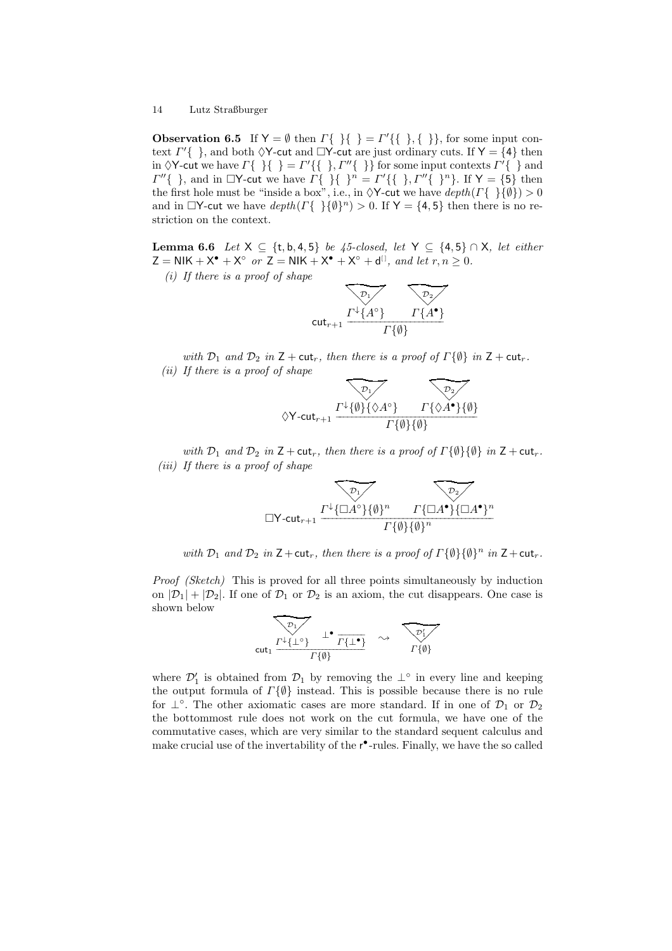**Observation 6.5** If  $Y = \emptyset$  then  $\Gamma\{\}\} = \Gamma'\{\{\},\{\}\}\$ , for some input context  $\Gamma'$ { }, and both  $\Diamond Y$ -cut and  $\Box Y$ -cut are just ordinary cuts. If  $Y = \{4\}$  then in  $\Diamond Y$ -cut we have  $\Gamma\{\}\{\}\ = \Gamma'\{\{\}\}\$  for some input contexts  $\Gamma'\{\}\$  and  $\Gamma''\{\}\$ , and in  $\Box Y$ -cut we have  $\Gamma\{\}\}\$   $\Gamma'' = \Gamma'\{\{\}\}, \Gamma''\{\}\$ . If  $Y = \{\overline{5}\}\$ then the first hole must be "inside a box", i.e., in  $\Diamond Y$ -cut we have  $depth(\Gamma\{\}\{\emptyset\}) > 0$ and in  $\Box Y$ -cut we have  $depth(\Gamma\{\}\{\emptyset\}^n) > 0$ . If  $Y = \{4, 5\}$  then there is no restriction on the context.

Lemma 6.6 Let  $X \subseteq \{t, b, 4, 5\}$  be 45-closed, let  $Y \subseteq \{4, 5\} \cap X$ , let either  $Z = NIK + X^{\bullet} + X^{\circ}$  or  $Z = NIK + X^{\bullet} + X^{\circ} + d^{[1]},$  and let  $r, n \ge 0$ .

 $(i)$  If there is a proof of shape

$$
\begin{array}{c}\n\hline\n\mathcal{D}_1 \\
\hline\n\mathcal{D}_2\n\end{array}\n\qquad\n\begin{array}{c}\n\hline\n\mathcal{D}_2 \\
\hline\n\mathcal{F}_1\n\end{array}
$$
\n
$$
\begin{array}{c}\n\hline\n\mathcal{D}_2\n\end{array}\n\qquad \qquad \Gamma\{A^\bullet\} \\
\hline\n\mathcal{F}\{\emptyset\}\n\end{array}
$$

with  $\mathcal{D}_1$  and  $\mathcal{D}_2$  in  $Z + \text{cut}_r$ , then there is a proof of  $\Gamma\{\emptyset\}$  in  $Z + \text{cut}_r$ .  $(ii)$  If there is a proof of shape

$$
\begin{array}{ccc}\n\sqrt{P_1} & \sqrt{P_2} \\
\Diamond Y-\text{cut}_{r+1} & \frac{\Gamma^{\downarrow}\{\emptyset\}\{\Diamond A^{\circ}\}}{\Gamma\{\emptyset\}\{\emptyset\}} & \frac{\Gamma\{\Diamond A^{\bullet}\}\{\emptyset\}}{\Gamma\{\emptyset\}}\n\end{array}
$$

with  $\mathcal{D}_1$  and  $\mathcal{D}_2$  in  $Z + \text{cut}_r$ , then there is a proof of  $\Gamma\{\emptyset\}\{\emptyset\}$  in  $Z + \text{cut}_r$ . (iii) If there is a proof of shape

$$
\overbrace{\Box Y\text{-}\text{cut}_{r+1}}^{\overbrace{\Gamma^{\downarrow}\{\Box A^{\circ}\}\{\emptyset\}^{n}}^{\overbrace{\mathcal{D}_{1}}^{\overbrace{\mathcal{D}_{2}}^{\overbrace{\mathcal{D}_{2}}^{\overbrace{\mathcal{D}_{2}}^{\overbrace{\mathcal{D}_{3}}^{\overline{\mathcal{D}_{4}}^{\overline{\mathcal{D}_{1}}}}}}^{\overbrace{\mathcal{D}_{2}}^{\overbrace{\mathcal{D}_{2}}^{\overbrace{\mathcal{D}_{3}}^{\overline{\mathcal{D}_{2}}^{\overline{\mathcal{D}_{3}}^{\overline{\mathcal{D}_{4}}^{\overline{\mathcal{D}_{4}}}}}}}}^{\overbrace{\mathcal{D}_{2}}^{\overbrace{\mathcal{D}_{2}}^{\overbrace{\mathcal{D}_{2}}^{\overline{\mathcal{D}_{2}}^{\overline{\mathcal{D}_{3}}^{\overline{\mathcal{D}_{4}}^{\overline{\mathcal{D}_{4}}^{\overline{\mathcal{D}_{4}}}}}}}}^{\overbrace{\mathcal{D}_{2}}^{\overbrace{\mathcal{D}_{2}}^{\overline{\mathcal{D}_{2}}^{\overline{\mathcal{D}_{2}}^{\overline{\mathcal{D}_{4}}^{\overline{\mathcal{D}_{4}}^{\overline{\mathcal{D}_{4}}^{\overline{\mathcal{D}_{4}}}}}}}}^{\overbrace{\mathcal{D}_{2}}^{\overbrace{\mathcal{D}_{2}}^{\overline{\mathcal{D}_{2}}^{\overline{\mathcal{D}_{2}}^{\overline{\mathcal{D}_{2}}^{\overline{\mathcal{D}_{4}}^{\overline{\mathcal{D}_{4}}}}}}^{\overbrace{\mathcal{D}_{2}}^{\overline{\mathcal{D}_{2}}^{\overline{\mathcal{D}_{2}}^{\overline{\mathcal{D}_{4}}^{\overline{\mathcal{D}_{4}}^{\overline{\mathcal{D}_{4}}^{\overline{\mathcal{D}_{4}}^{\overline{\mathcal{D}_{4}}}}}}}}^{\overbrace{\mathcal{D}_{2}}^{\overbrace{\mathcal{D}_{2}}^{\overline{\mathcal{D}_{2}}^{\overline{\mathcal{D}_{2}}^{\overline{\mathcal{D}_{2}}^{\overline{\mathcal{D}_{4}}^{\overline{\mathcal{D}_{4}}}}}}^{\overbrace{\mathcal{D}_{2}}^{\overline{\mathcal{D}_{2}}^{\overline{\mathcal{D}_{2}}^{\overline{\mathcal{D}_{4}}^{\overline{\mathcal{D}_{4}}}}}}}}^{\overbrace{\mathcal{D}_{
$$

with  $\mathcal{D}_1$  and  $\mathcal{D}_2$  in  $Z + \text{cut}_r$ , then there is a proof of  $\Gamma\{\emptyset\}\{\emptyset\}^n$  in  $Z + \text{cut}_r$ .

Proof (Sketch) This is proved for all three points simultaneously by induction on  $|\mathcal{D}_1| + |\mathcal{D}_2|$ . If one of  $\mathcal{D}_1$  or  $\mathcal{D}_2$  is an axiom, the cut disappears. One case is shown below

$$
\begin{array}{ccc}\n\hline\n\text{out}_1 & \text{out}_2 & \text{out}_3 \\
\hline\n\text{out}_1 & \text{out}_4 & \text{out}_5 \\
\hline\n\text{out}_2 & \text{out}_6 & \text{out}_7 \\
\hline\n\end{array}
$$

where  $\mathcal{D}'_1$  is obtained from  $\mathcal{D}_1$  by removing the  $\perp^{\circ}$  in every line and keeping the output formula of  $\Gamma\{\emptyset\}$  instead. This is possible because there is no rule for  $\perp^{\circ}$ . The other axiomatic cases are more standard. If in one of  $\mathcal{D}_1$  or  $\mathcal{D}_2$ the bottommost rule does not work on the cut formula, we have one of the commutative cases, which are very similar to the standard sequent calculus and make crucial use of the invertability of the  $r^{\bullet}$ -rules. Finally, we have the so called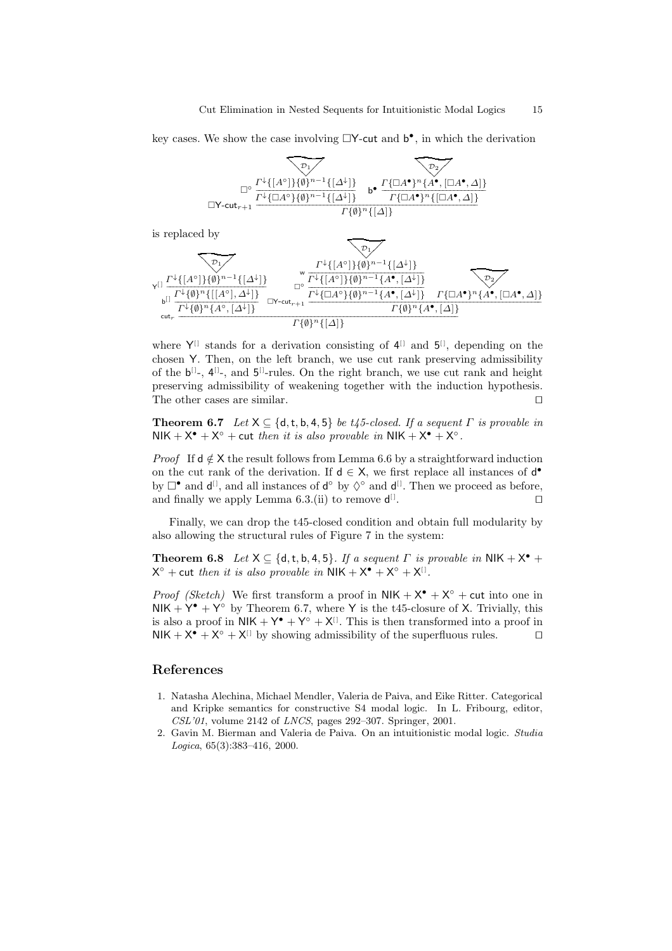key cases. We show the case involving  $\Box Y$ -cut and  $b^{\bullet}$ , in which the derivation

$$
\begin{array}{c}\n\hline\n\mathcal{P}_1 \\
\hline\n\mathcal{P}_2\n\end{array}
$$
\n
$$
\begin{array}{c}\n\hline\n\mathcal{P}_2\n\end{array}
$$
\n
$$
\begin{array}{c}\n\hline\n\mathcal{P}_1\n\end{array}
$$
\n
$$
\begin{array}{c}\n\hline\n\mathcal{P}_2\n\end{array}
$$
\n
$$
\begin{array}{c}\n\hline\n\mathcal{P}_1\n\end{array}
$$
\n
$$
\begin{array}{c}\n\hline\n\mathcal{P}_2\n\end{array}
$$
\n
$$
\begin{array}{c}\n\hline\n\mathcal{P}_1\n\end{array}
$$
\n
$$
\begin{array}{c}\n\hline\n\mathcal{P}_2\n\end{array}
$$
\n
$$
\begin{array}{c}\n\hline\n\mathcal{P}_1\n\end{array}
$$
\n
$$
\begin{array}{c}\n\hline\n\mathcal{P}_2\n\end{array}
$$
\n
$$
\begin{array}{c}\n\hline\n\mathcal{P}_1\n\end{array}
$$
\n
$$
\begin{array}{c}\n\hline\n\mathcal{P}_2\n\end{array}
$$
\n
$$
\begin{array}{c}\n\hline\n\mathcal{P}_1\n\end{array}
$$
\n
$$
\begin{array}{c}\n\hline\n\mathcal{P}_2\n\end{array}
$$
\n
$$
\begin{array}{c}\n\hline\n\mathcal{P}_2\n\end{array}
$$
\n
$$
\begin{array}{c}\n\hline\n\mathcal{P}_1\n\end{array}
$$
\n
$$
\begin{array}{c}\n\hline\n\mathcal{P}_2\n\end{array}
$$
\n
$$
\begin{array}{c}\n\hline\n\mathcal{P}_2\n\end{array}
$$

is replaced by



where  $Y^{[]}$  stands for a derivation consisting of  $4^{[]}$  and  $5^{[]}$ , depending on the chosen Y. Then, on the left branch, we use cut rank preserving admissibility of the  $b^{[1]}$ -,  $4^{[1]}$ -, and  $5^{[1]}$ -rules. On the right branch, we use cut rank and height preserving admissibility of weakening together with the induction hypothesis. The other cases are similar. ⊓⊔

**Theorem 6.7** Let  $X \subseteq \{d, t, b, 4, 5\}$  be t45-closed. If a sequent  $\Gamma$  is provable in NIK +  $X^{\bullet}$  +  $X^{\circ}$  + cut then it is also provable in NIK +  $X^{\bullet}$  +  $X^{\circ}$ .

*Proof* If  $d \notin X$  the result follows from Lemma 6.6 by a straightforward induction on the cut rank of the derivation. If  $d \in X$ , we first replace all instances of  $d^{\bullet}$ by  $\Box^{\bullet}$  and  $\mathsf{d}^{[1]}$ , and all instances of  $\mathsf{d}^{\circ}$  by  $\Diamond^{\circ}$  and  $\mathsf{d}^{[1]}$ . Then we proceed as before, and finally we apply Lemma  $6.3$ .(ii) to remove  $d^{[1]}$ . ⊓⊔

Finally, we can drop the t45-closed condition and obtain full modularity by also allowing the structural rules of Figure 7 in the system:

**Theorem 6.8** Let  $X \subseteq \{d, t, b, 4, 5\}$ . If a sequent  $\Gamma$  is provable in NIK +  $X^{\bullet}$  +  $X^{\circ}$  + cut then it is also provable in NIK +  $X^{\bullet}$  +  $X^{\circ}$  +  $X^{[]}$ .

*Proof (Sketch)* We first transform a proof in  $NIK + X^{\bullet} + X^{\circ} + \text{cut}$  into one in  $NIK + Y^{\bullet} + Y^{\circ}$  by Theorem 6.7, where Y is the t45-closure of X. Trivially, this is also a proof in  $NIK + Y^{\bullet} + Y^{\circ} + X^{[1]}$ . This is then transformed into a proof in NIK +  $X^{\bullet}$  +  $X^{\circ}$  +  $X^{[]}$  by showing admissibility of the superfluous rules.  $\Box$ 

# References

- 1. Natasha Alechina, Michael Mendler, Valeria de Paiva, and Eike Ritter. Categorical and Kripke semantics for constructive S4 modal logic. In L. Fribourg, editor, *CSL'01*, volume 2142 of *LNCS*, pages 292–307. Springer, 2001.
- 2. Gavin M. Bierman and Valeria de Paiva. On an intuitionistic modal logic. *Studia Logica*, 65(3):383–416, 2000.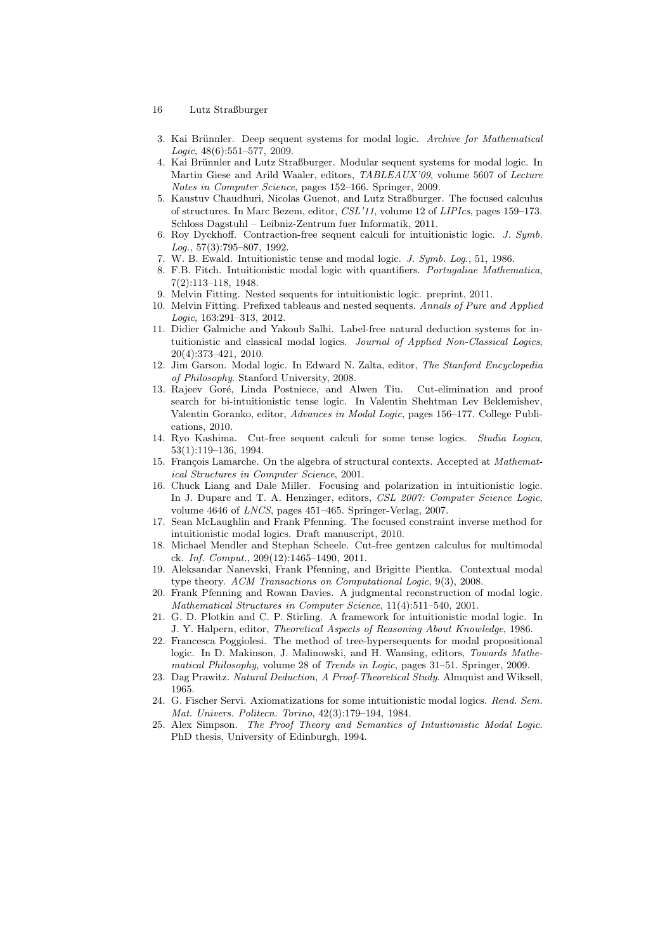- 16 Lutz Straßburger
- 3. Kai Brünnler. Deep sequent systems for modal logic. *Archive for Mathematical Logic*, 48(6):551–577, 2009.
- 4. Kai Brünnler and Lutz Straßburger. Modular sequent systems for modal logic. In Martin Giese and Arild Waaler, editors, *TABLEAUX'09*, volume 5607 of *Lecture Notes in Computer Science*, pages 152–166. Springer, 2009.
- 5. Kaustuv Chaudhuri, Nicolas Guenot, and Lutz Straßburger. The focused calculus of structures. In Marc Bezem, editor, *CSL'11*, volume 12 of *LIPIcs*, pages 159–173. Schloss Dagstuhl – Leibniz-Zentrum fuer Informatik, 2011.
- 6. Roy Dyckhoff. Contraction-free sequent calculi for intuitionistic logic. *J. Symb. Log.*, 57(3):795–807, 1992.
- 7. W. B. Ewald. Intuitionistic tense and modal logic. *J. Symb. Log.*, 51, 1986.
- 8. F.B. Fitch. Intuitionistic modal logic with quantifiers. *Portugaliae Mathematica*, 7(2):113–118, 1948.
- 9. Melvin Fitting. Nested sequents for intuitionistic logic. preprint, 2011.
- 10. Melvin Fitting. Prefixed tableaus and nested sequents. *Annals of Pure and Applied Logic*, 163:291–313, 2012.
- 11. Didier Galmiche and Yakoub Salhi. Label-free natural deduction systems for intuitionistic and classical modal logics. *Journal of Applied Non-Classical Logics*, 20(4):373–421, 2010.
- 12. Jim Garson. Modal logic. In Edward N. Zalta, editor, *The Stanford Encyclopedia of Philosophy*. Stanford University, 2008.
- 13. Rajeev Goré, Linda Postniece, and Alwen Tiu. Cut-elimination and proof search for bi-intuitionistic tense logic. In Valentin Shehtman Lev Beklemishev, Valentin Goranko, editor, *Advances in Modal Logic*, pages 156–177. College Publications, 2010.<br>14. Ryo Kashima.
- 14. Ryo Kashima. Cut-free sequent calculi for some tense logics. *Studia Logica*, 53(1):119–136, 1994.
- 15. François Lamarche. On the algebra of structural contexts. Accepted at *Mathematical Structures in Computer Science*, 2001.
- 16. Chuck Liang and Dale Miller. Focusing and polarization in intuitionistic logic. In J. Duparc and T. A. Henzinger, editors, *CSL 2007: Computer Science Logic*, volume 4646 of *LNCS*, pages 451–465. Springer-Verlag, 2007.
- 17. Sean McLaughlin and Frank Pfenning. The focused constraint inverse method for intuitionistic modal logics. Draft manuscript, 2010.
- 18. Michael Mendler and Stephan Scheele. Cut-free gentzen calculus for multimodal ck. *Inf. Comput.*, 209(12):1465–1490, 2011.
- 19. Aleksandar Nanevski, Frank Pfenning, and Brigitte Pientka. Contextual modal type theory. *ACM Transactions on Computational Logic*, 9(3), 2008.
- 20. Frank Pfenning and Rowan Davies. A judgmental reconstruction of modal logic. *Mathematical Structures in Computer Science*, 11(4):511–540, 2001.
- 21. G. D. Plotkin and C. P. Stirling. A framework for intuitionistic modal logic. In J. Y. Halpern, editor, *Theoretical Aspects of Reasoning About Knowledge*, 1986.
- 22. Francesca Poggiolesi. The method of tree-hypersequents for modal propositional logic. In D. Makinson, J. Malinowski, and H. Wansing, editors, *Towards Mathematical Philosophy*, volume 28 of *Trends in Logic*, pages 31–51. Springer, 2009.
- 23. Dag Prawitz. *Natural Deduction, A Proof-Theoretical Study*. Almquist and Wiksell, 1965.
- 24. G. Fischer Servi. Axiomatizations for some intuitionistic modal logics. *Rend. Sem. Mat. Univers. Politecn. Torino*, 42(3):179–194, 1984.
- 25. Alex Simpson. *The Proof Theory and Semantics of Intuitionistic Modal Logic*. PhD thesis, University of Edinburgh, 1994.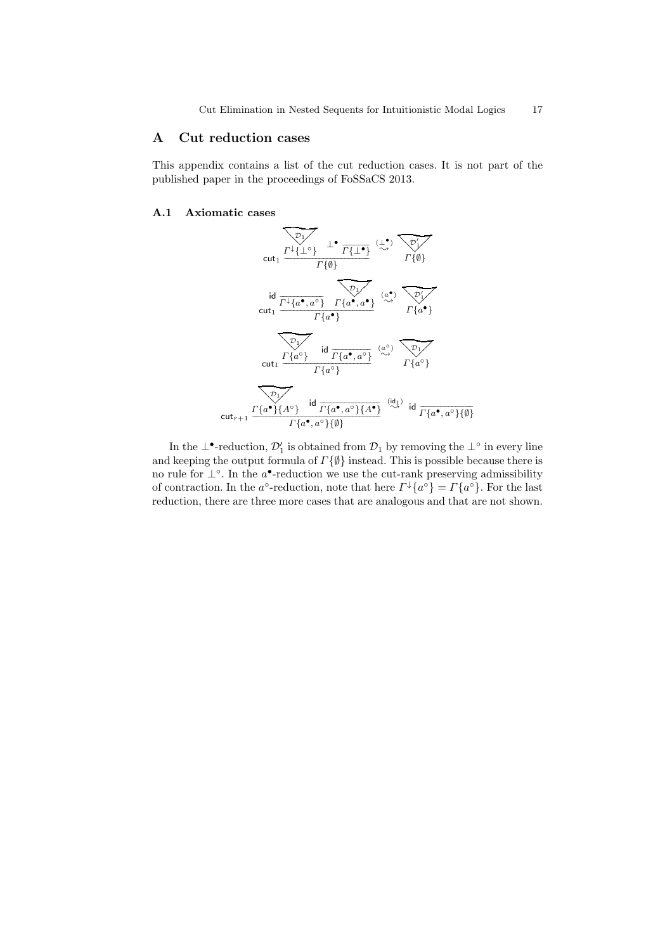# A Cut reduction cases

This appendix contains a list of the cut reduction cases. It is not part of the published paper in the proceedings of FoSSaCS 2013.

#### A.1 Axiomatic cases



In the  $\perp^{\bullet}$ -reduction,  $\mathcal{D}'_1$  is obtained from  $\mathcal{D}_1$  by removing the  $\perp^{\circ}$  in every line and keeping the output formula of  $\Gamma\{\emptyset\}$  instead. This is possible because there is no rule for  $\perp^{\circ}$ . In the a<sup>•</sup>-reduction we use the cut-rank preserving admissibility of contraction. In the a<sup>o</sup>-reduction, note that here  $\Gamma^{\downarrow}{a^{\circ}} = \Gamma{a^{\circ}}$ . For the last reduction, there are three more cases that are analogous and that are not shown.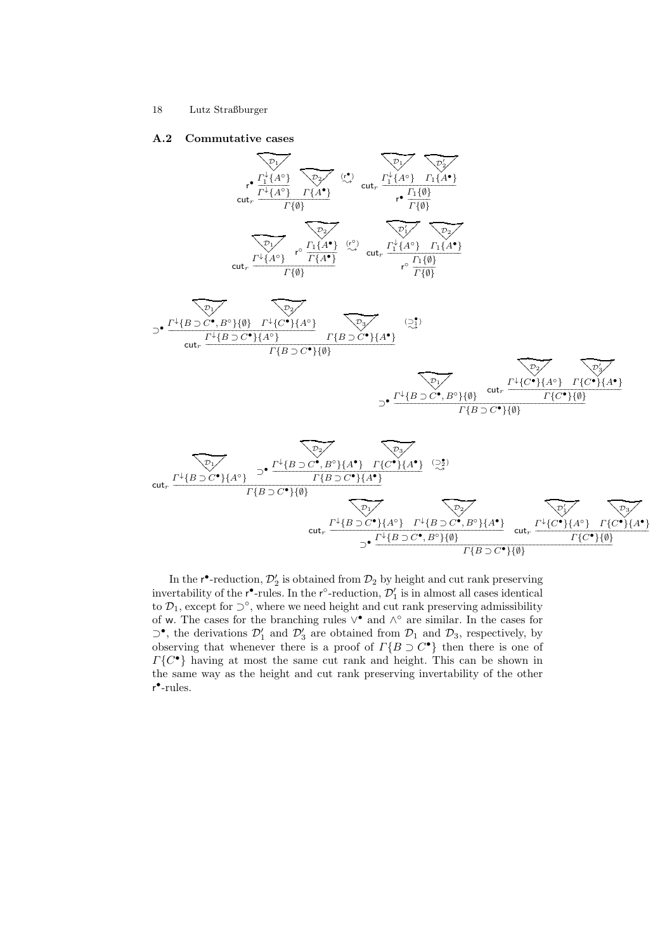#### A.2 Commutative cases



In the  $r^{\bullet}$ -reduction,  $\mathcal{D}'_2$  is obtained from  $\mathcal{D}_2$  by height and cut rank preserving invertability of the  $r^{\bullet}$ -rules. In the  $r^{\circ}$ -reduction,  $\mathcal{D}'_1$  is in almost all cases identical to  $\mathcal{D}_1$ , except for  $\supset^{\circ}$ , where we need height and cut rank preserving admissibility of w. The cases for the branching rules  $\vee^{\bullet}$  and  $\wedge^{\circ}$  are similar. In the cases for  $\sup$ , the derivations  $\mathcal{D}'_1$  and  $\mathcal{D}'_3$  are obtained from  $\mathcal{D}_1$  and  $\mathcal{D}_3$ , respectively, by observing that whenever there is a proof of  $\Gamma\{B \supset C^{\bullet}\}\$  then there is one of  $\Gamma\{C^{\bullet}\}\$  having at most the same cut rank and height. This can be shown in the same way as the height and cut rank preserving invertability of the other r • -rules.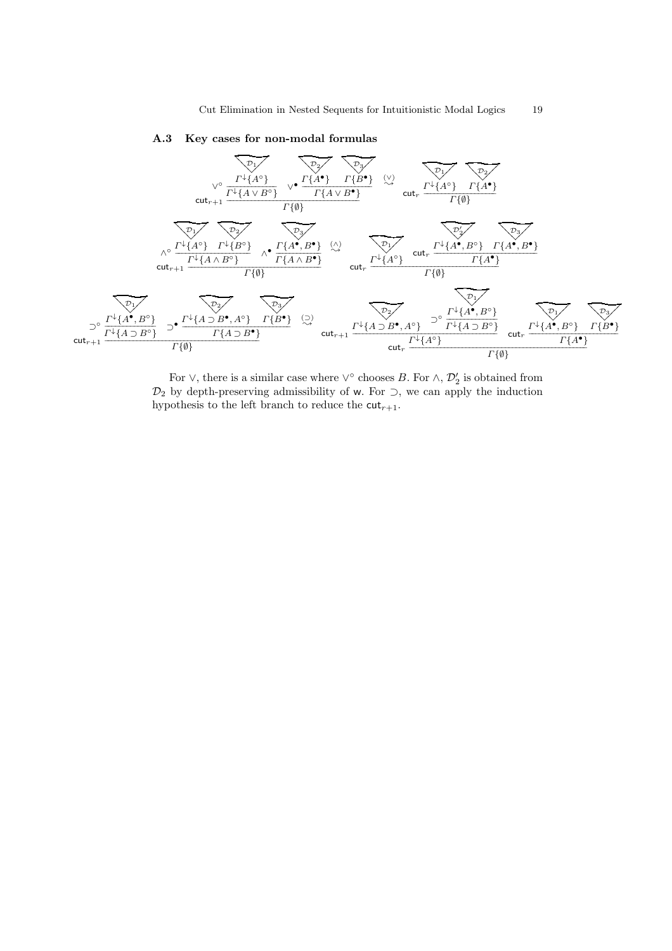

# A.3 Key cases for non-modal formulas

For  $\vee$ , there is a similar case where  $\vee^{\circ}$  chooses B. For  $\wedge$ ,  $\mathcal{D}'_2$  is obtained from  $\mathcal{D}_2$  by depth-preserving admissibility of w. For  $\supset$ , we can apply the induction hypothesis to the left branch to reduce the  $cut_{r+1}$ .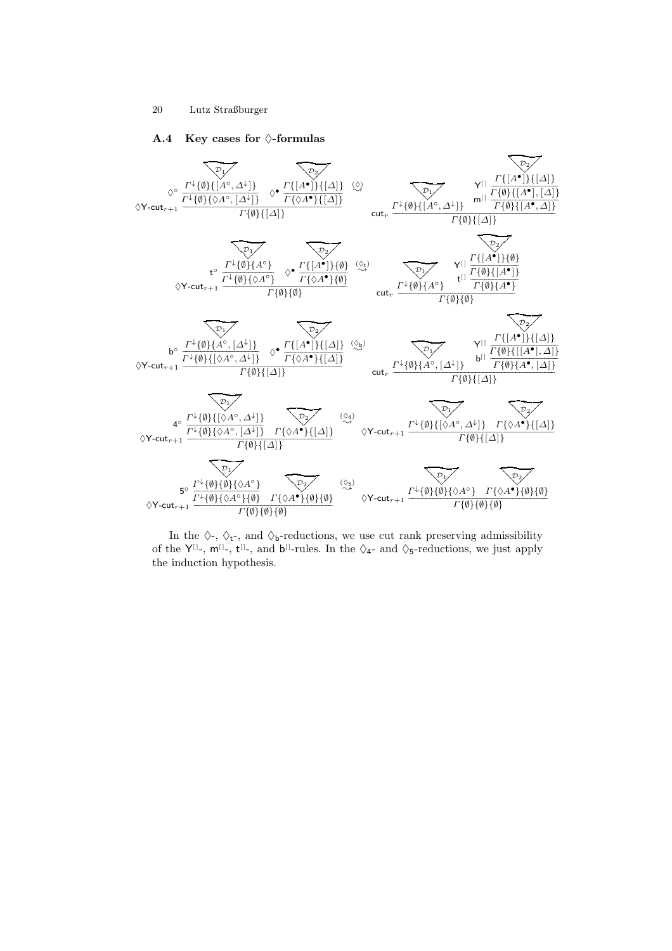#### A.4 Key cases for  $\Diamond$ -formulas



In the  $\Diamond$ -,  $\Diamond$ <sub>t</sub>-, and  $\Diamond$ <sub>b</sub>-reductions, we use cut rank preserving admissibility of the  $Y^{[1]}$ -,  $m^{[1]}$ -,  $t^{[1]}$ -, and  $b^{[1]}$ -rules. In the  $\Diamond$ 4- and  $\Diamond$ 5-reductions, we just apply the induction hypothesis.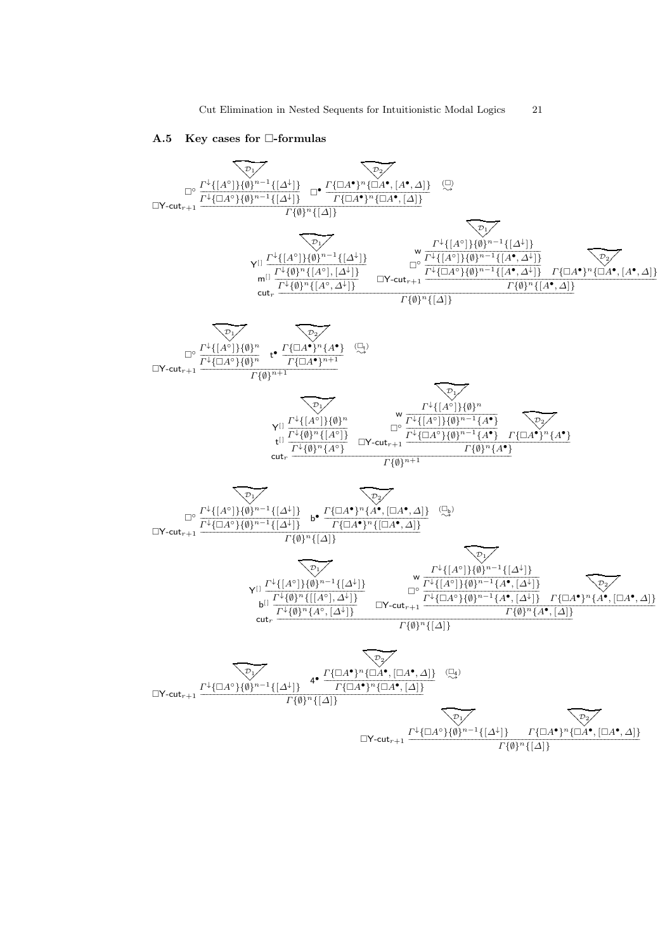#### A.5 Key cases for  $\square$ -formulas